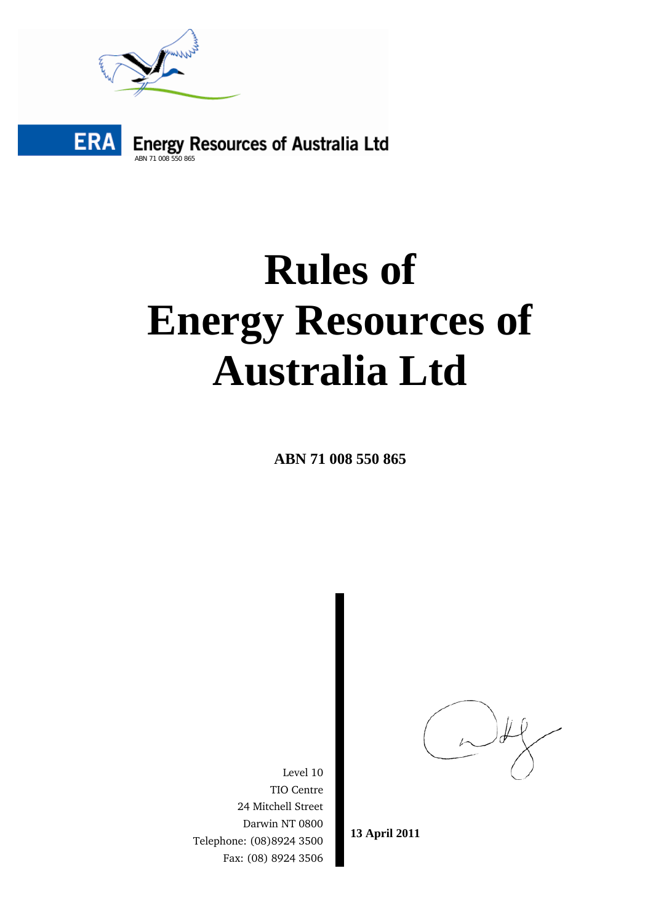



# **Rules of Energy Resources of Australia Ltd**

**ABN 71 008 550 865** 

Level 10 TIO Centre 24 Mitchell Street Darwin NT 0800 Telephone: (08)8924 3500 Fax: (08) 8924 3506

**13 April 2011**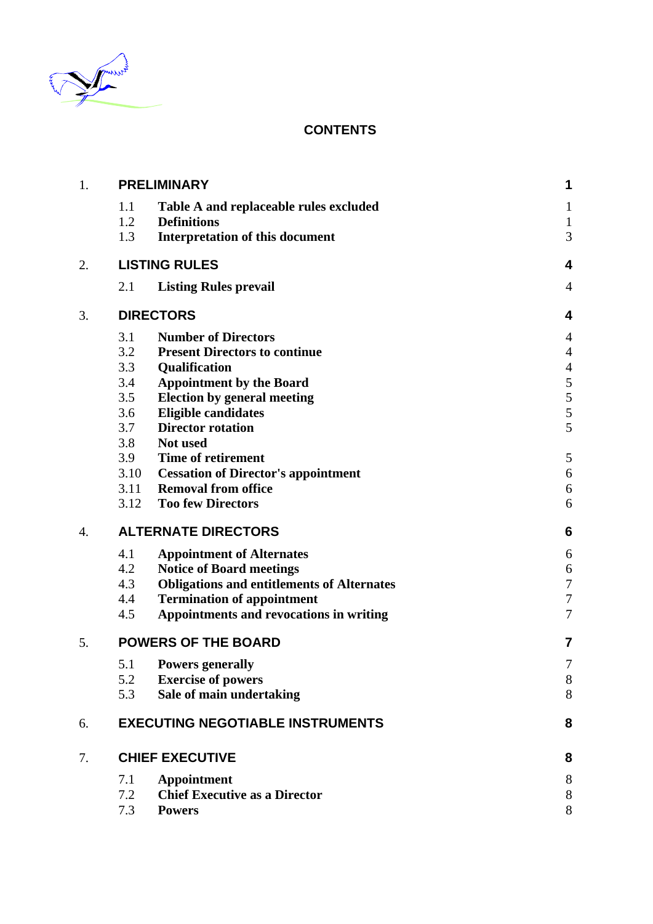

# **CONTENTS**

| 1. | <b>PRELIMINARY</b>                                               |                                                                                                                                                                                                                        | 1                                                         |
|----|------------------------------------------------------------------|------------------------------------------------------------------------------------------------------------------------------------------------------------------------------------------------------------------------|-----------------------------------------------------------|
|    | 1.1<br>1.2<br><b>Definitions</b>                                 | Table A and replaceable rules excluded                                                                                                                                                                                 | $\mathbf 1$                                               |
|    | 1.3                                                              | <b>Interpretation of this document</b>                                                                                                                                                                                 | $\mathbf{1}$<br>3                                         |
| 2. | <b>LISTING RULES</b>                                             |                                                                                                                                                                                                                        | 4                                                         |
|    | 2.1                                                              | <b>Listing Rules prevail</b>                                                                                                                                                                                           | $\overline{4}$                                            |
| 3. | <b>DIRECTORS</b>                                                 |                                                                                                                                                                                                                        | 4                                                         |
|    | 3.1<br>3.2<br>3.3<br>3.4<br>3.5<br>3.6<br>3.7<br>3.8<br>Not used | <b>Number of Directors</b><br><b>Present Directors to continue</b><br>Qualification<br><b>Appointment by the Board</b><br><b>Election by general meeting</b><br><b>Eligible candidates</b><br><b>Director rotation</b> | 4<br>$\overline{4}$<br>$\overline{4}$<br>5<br>5<br>5<br>5 |
|    | 3.9<br>3.10<br>3.11<br>3.12                                      | <b>Time of retirement</b><br><b>Cessation of Director's appointment</b><br><b>Removal from office</b><br><b>Too few Directors</b>                                                                                      | 5<br>$\boldsymbol{6}$<br>6<br>6                           |
| 4. |                                                                  | <b>ALTERNATE DIRECTORS</b>                                                                                                                                                                                             | 6                                                         |
|    | 4.1<br>4.2<br>4.3<br>4.4<br>4.5                                  | <b>Appointment of Alternates</b><br><b>Notice of Board meetings</b><br><b>Obligations and entitlements of Alternates</b><br><b>Termination of appointment</b><br><b>Appointments and revocations in writing</b>        | 6<br>6<br>$\overline{7}$<br>$\overline{7}$<br>7           |
| 5. |                                                                  | <b>POWERS OF THE BOARD</b>                                                                                                                                                                                             | 7                                                         |
|    | 5.1 Powers generally<br>5.2<br>5.3                               | <b>Exercise of powers</b><br>Sale of main undertaking                                                                                                                                                                  | 7<br>$8\,$<br>8                                           |
| 6. |                                                                  | <b>EXECUTING NEGOTIABLE INSTRUMENTS</b>                                                                                                                                                                                | 8                                                         |
| 7. | <b>CHIEF EXECUTIVE</b>                                           |                                                                                                                                                                                                                        | 8                                                         |
|    | 7.1<br>7.2<br>7.3<br><b>Powers</b>                               | <b>Appointment</b><br><b>Chief Executive as a Director</b>                                                                                                                                                             | $8\,$<br>$8\,$<br>8                                       |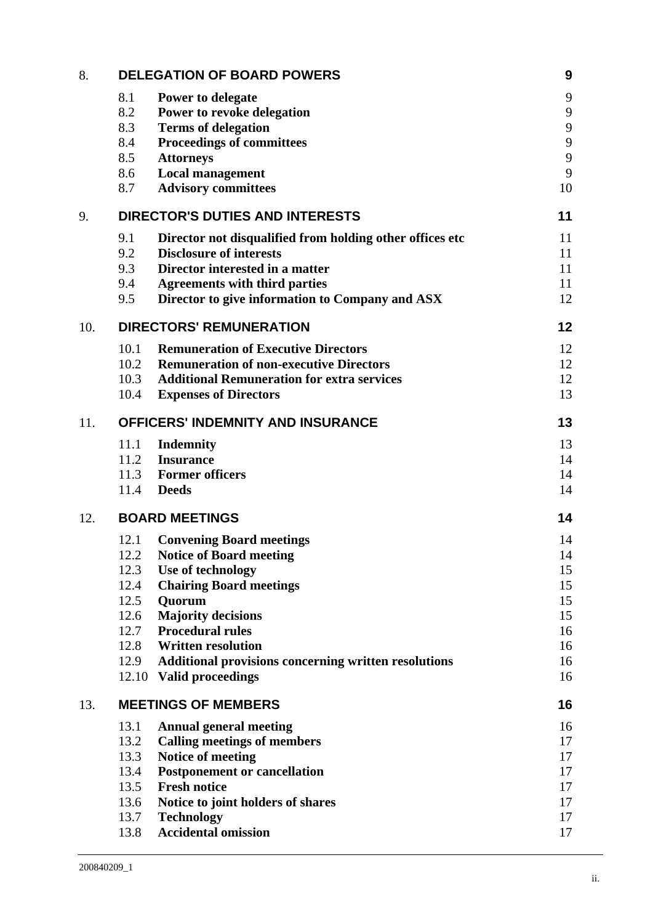| 8.  | <b>DELEGATION OF BOARD POWERS</b>                                                                                                                                                                                                                                                                                                                                                                   | 9                                                        |
|-----|-----------------------------------------------------------------------------------------------------------------------------------------------------------------------------------------------------------------------------------------------------------------------------------------------------------------------------------------------------------------------------------------------------|----------------------------------------------------------|
|     | 8.1<br>Power to delegate<br>8.2<br>Power to revoke delegation<br>8.3<br><b>Terms of delegation</b><br>8.4<br><b>Proceedings of committees</b><br>8.5<br><b>Attorneys</b><br>8.6<br><b>Local management</b><br><b>Advisory committees</b><br>8.7                                                                                                                                                     | 9<br>9<br>$\mathbf{9}$<br>9<br>9<br>9<br>10              |
| 9.  | <b>DIRECTOR'S DUTIES AND INTERESTS</b>                                                                                                                                                                                                                                                                                                                                                              | 11                                                       |
|     | 9.1<br>Director not disqualified from holding other offices etc<br><b>Disclosure of interests</b><br>9.2<br>9.3<br>Director interested in a matter<br>9.4<br><b>Agreements with third parties</b><br>Director to give information to Company and ASX<br>9.5                                                                                                                                         | 11<br>11<br>11<br>11<br>12                               |
| 10. | <b>DIRECTORS' REMUNERATION</b>                                                                                                                                                                                                                                                                                                                                                                      | 12                                                       |
|     | <b>Remuneration of Executive Directors</b><br>10.1<br>10.2<br><b>Remuneration of non-executive Directors</b><br><b>Additional Remuneration for extra services</b><br>10.3<br>10.4<br><b>Expenses of Directors</b>                                                                                                                                                                                   | 12<br>12<br>12<br>13                                     |
| 11. | <b>OFFICERS' INDEMNITY AND INSURANCE</b>                                                                                                                                                                                                                                                                                                                                                            | 13                                                       |
|     | 11.1<br><b>Indemnity</b><br>11.2<br><b>Insurance</b><br>11.3 Former officers<br><b>Deeds</b><br>11.4                                                                                                                                                                                                                                                                                                | 13<br>14<br>14<br>14                                     |
| 12. | <b>BOARD MEETINGS</b>                                                                                                                                                                                                                                                                                                                                                                               | 14                                                       |
|     | 12.1<br><b>Convening Board meetings</b><br><b>Notice of Board meeting</b><br>12.2<br>12.3<br>Use of technology<br><b>Chairing Board meetings</b><br>12.4<br>12.5<br>Quorum<br><b>Majority decisions</b><br>12.6<br><b>Procedural rules</b><br>12.7<br>12.8<br><b>Written resolution</b><br>12.9<br><b>Additional provisions concerning written resolutions</b><br>12.10<br><b>Valid proceedings</b> | 14<br>14<br>15<br>15<br>15<br>15<br>16<br>16<br>16<br>16 |
| 13. | <b>MEETINGS OF MEMBERS</b>                                                                                                                                                                                                                                                                                                                                                                          | 16                                                       |
|     | 13.1<br><b>Annual general meeting</b><br><b>Calling meetings of members</b><br>13.2<br>Notice of meeting<br>13.3<br>13.4<br><b>Postponement or cancellation</b><br>13.5<br><b>Fresh notice</b><br>13.6<br>Notice to joint holders of shares<br>13.7<br><b>Technology</b><br><b>Accidental omission</b><br>13.8                                                                                      | 16<br>17<br>17<br>17<br>17<br>17<br>17<br>17             |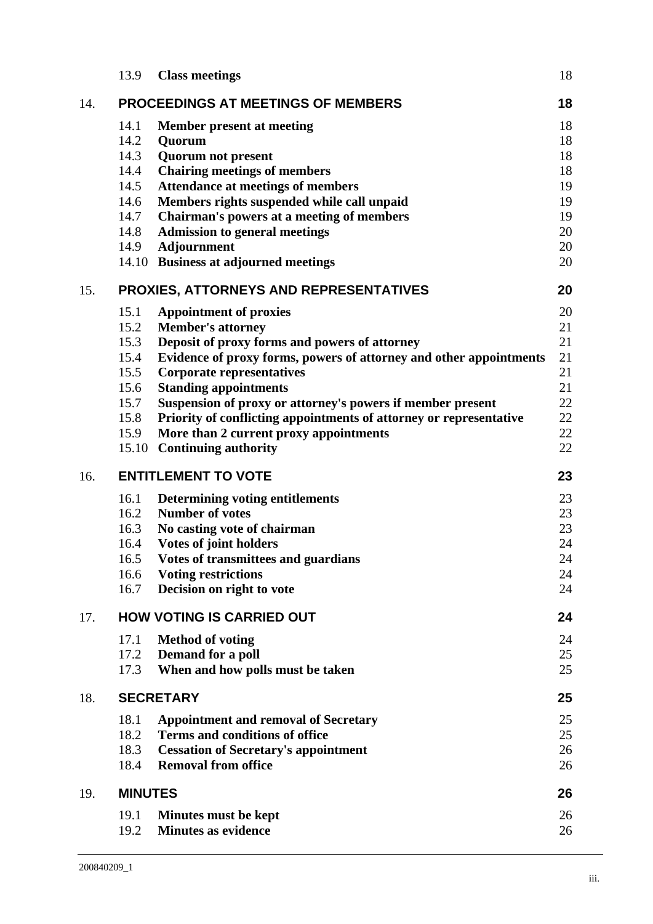|     | 13.9           | <b>Class meetings</b>                                                                                        | 18       |
|-----|----------------|--------------------------------------------------------------------------------------------------------------|----------|
| 14. |                | <b>PROCEEDINGS AT MEETINGS OF MEMBERS</b>                                                                    | 18       |
|     | 14.1           | <b>Member present at meeting</b>                                                                             | 18       |
|     | 14.2           | Quorum                                                                                                       | 18       |
|     | 14.3           | <b>Quorum not present</b>                                                                                    | 18       |
|     | 14.4           | <b>Chairing meetings of members</b>                                                                          | 18       |
|     | 14.5           | <b>Attendance at meetings of members</b>                                                                     | 19       |
|     | 14.6           | Members rights suspended while call unpaid                                                                   | 19       |
|     | 14.7<br>14.8   | Chairman's powers at a meeting of members                                                                    | 19<br>20 |
|     | 14.9           | <b>Admission to general meetings</b><br><b>Adjournment</b>                                                   | 20       |
|     |                | 14.10 Business at adjourned meetings                                                                         | 20       |
| 15. |                | <b>PROXIES, ATTORNEYS AND REPRESENTATIVES</b>                                                                | 20       |
|     | 15.1           | <b>Appointment of proxies</b>                                                                                | 20       |
|     | 15.2           | <b>Member's attorney</b>                                                                                     | 21       |
|     | 15.3           | Deposit of proxy forms and powers of attorney                                                                | 21       |
|     | 15.4           | Evidence of proxy forms, powers of attorney and other appointments                                           | 21       |
|     | 15.5           | <b>Corporate representatives</b>                                                                             | 21       |
|     | 15.6           | <b>Standing appointments</b>                                                                                 | 21       |
|     | 15.7<br>15.8   | Suspension of proxy or attorney's powers if member present                                                   | 22<br>22 |
|     | 15.9           | Priority of conflicting appointments of attorney or representative<br>More than 2 current proxy appointments | 22       |
|     |                | 15.10 Continuing authority                                                                                   | 22       |
| 16. |                | <b>ENTITLEMENT TO VOTE</b>                                                                                   | 23       |
|     | 16.1           | Determining voting entitlements                                                                              | 23       |
|     | 16.2           | <b>Number of votes</b>                                                                                       | 23       |
|     | 16.3           | No casting vote of chairman                                                                                  | 23       |
|     | 16.4           | Votes of joint holders                                                                                       | 24       |
|     | 16.5           | Votes of transmittees and guardians                                                                          | 24       |
|     | 16.6           | <b>Voting restrictions</b>                                                                                   | 24       |
|     | 16.7           | Decision on right to vote                                                                                    | 24       |
| 17. |                |                                                                                                              |          |
|     |                | <b>HOW VOTING IS CARRIED OUT</b>                                                                             | 24       |
|     | 17.1           | <b>Method of voting</b>                                                                                      | 24       |
|     | 17.2           | Demand for a poll                                                                                            | 25       |
|     | 17.3           | When and how polls must be taken                                                                             | 25       |
| 18. |                | <b>SECRETARY</b>                                                                                             | 25       |
|     | 18.1           | <b>Appointment and removal of Secretary</b>                                                                  | 25       |
|     | 18.2           | <b>Terms and conditions of office</b>                                                                        | 25       |
|     | 18.3           | <b>Cessation of Secretary's appointment</b>                                                                  | 26       |
|     | 18.4           | <b>Removal from office</b>                                                                                   | 26       |
| 19. | <b>MINUTES</b> |                                                                                                              | 26       |
|     | 19.1           | Minutes must be kept                                                                                         | 26       |
|     | 19.2           | <b>Minutes as evidence</b>                                                                                   | 26       |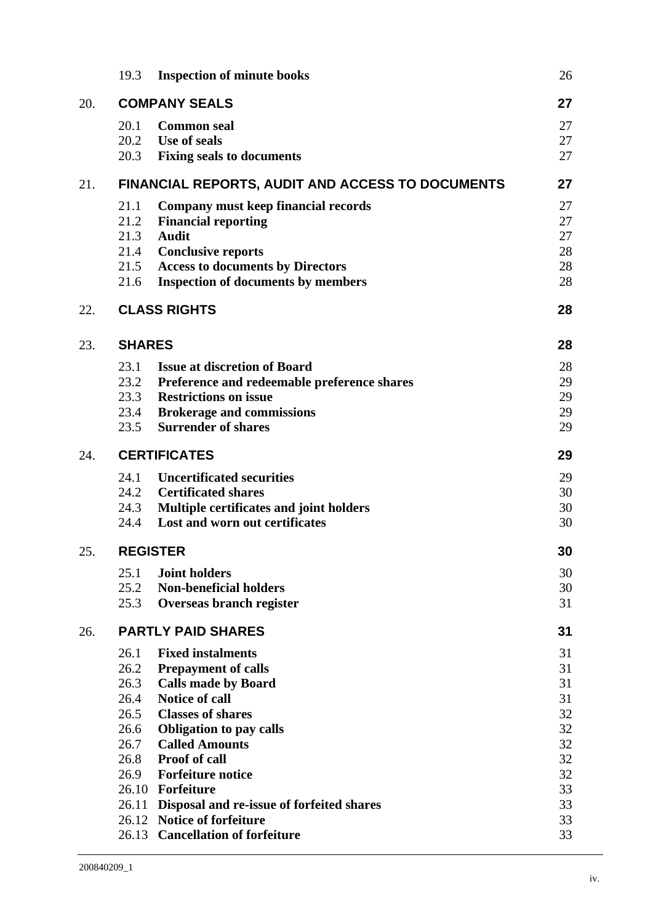|     | 19.3            | <b>Inspection of minute books</b>                                       | 26       |
|-----|-----------------|-------------------------------------------------------------------------|----------|
| 20. |                 | <b>COMPANY SEALS</b>                                                    | 27       |
|     | 20.1            | <b>Common seal</b>                                                      | 27       |
|     |                 | 20.2 Use of seals                                                       | 27       |
|     | 20.3            | <b>Fixing seals to documents</b>                                        | 27       |
| 21. |                 | <b>FINANCIAL REPORTS, AUDIT AND ACCESS TO DOCUMENTS</b>                 | 27       |
|     | 21.1            | <b>Company must keep financial records</b>                              | 27       |
|     | 21.2            | <b>Financial reporting</b>                                              | 27       |
|     | 21.3            | <b>Audit</b>                                                            | 27       |
|     | 21.4            | <b>Conclusive reports</b>                                               | 28       |
|     | 21.5            | <b>Access to documents by Directors</b>                                 | 28       |
|     | 21.6            | <b>Inspection of documents by members</b>                               | 28       |
| 22. |                 | <b>CLASS RIGHTS</b>                                                     | 28       |
| 23. | <b>SHARES</b>   |                                                                         | 28       |
|     | 23.1            | <b>Issue at discretion of Board</b>                                     | 28       |
|     | 23.2            | Preference and redeemable preference shares                             | 29       |
|     | 23.3            | <b>Restrictions on issue</b>                                            | 29       |
|     | 23.4            | <b>Brokerage and commissions</b>                                        | 29       |
|     | 23.5            | <b>Surrender of shares</b>                                              | 29       |
| 24. |                 | <b>CERTIFICATES</b>                                                     | 29       |
|     | 24.1            | <b>Uncertificated securities</b>                                        | 29       |
|     | 24.2            | <b>Certificated shares</b>                                              | 30       |
|     | 24.3            | Multiple certificates and joint holders                                 | 30       |
|     | 24.4            | Lost and worn out certificates                                          | 30       |
| 25. | <b>REGISTER</b> |                                                                         | 30       |
|     | 25.1            | <b>Joint holders</b>                                                    | 30       |
|     | 25.2            | <b>Non-beneficial holders</b>                                           | 30       |
|     | 25.3            | Overseas branch register                                                | 31       |
| 26. |                 | <b>PARTLY PAID SHARES</b>                                               | 31       |
|     | 26.1            | <b>Fixed instalments</b>                                                | 31       |
|     | 26.2            | <b>Prepayment of calls</b>                                              | 31       |
|     | 26.3            | <b>Calls made by Board</b>                                              | 31       |
|     | 26.4            | <b>Notice of call</b>                                                   | 31       |
|     | 26.5            | <b>Classes of shares</b>                                                | 32       |
|     | 26.6            | <b>Obligation to pay calls</b>                                          | 32       |
|     | 26.7            | <b>Called Amounts</b>                                                   | 32       |
|     | 26.8            | <b>Proof of call</b>                                                    | 32       |
|     | 26.9            | <b>Forfeiture notice</b>                                                | 32       |
|     | 26.10<br>26.11  | Forfeiture                                                              | 33<br>33 |
|     |                 | Disposal and re-issue of forfeited shares<br>26.12 Notice of forfeiture | 33       |
|     |                 | 26.13 Cancellation of forfeiture                                        | 33       |
|     |                 |                                                                         |          |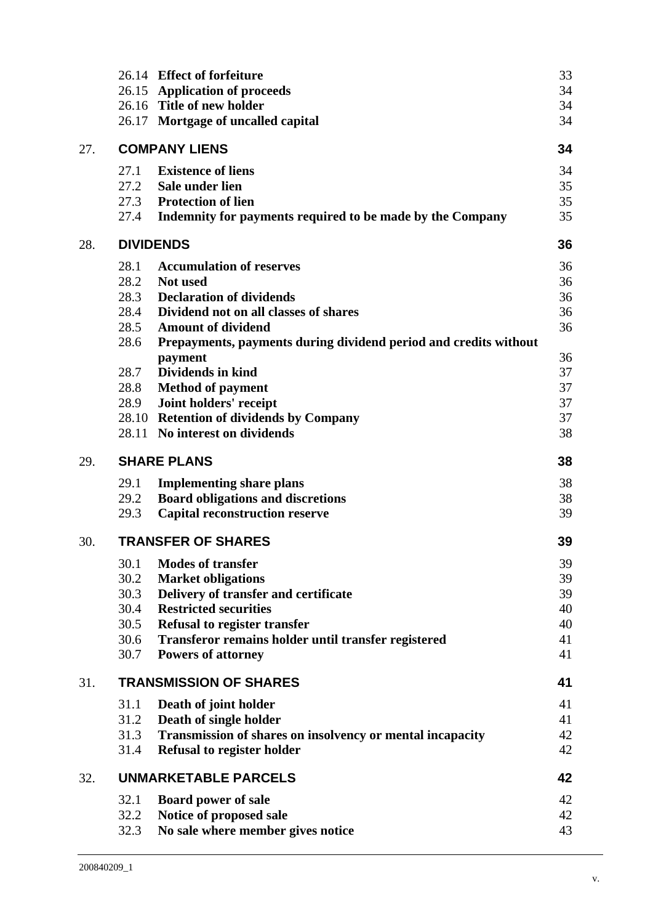| 33<br>34<br>34<br>34                                                                           |
|------------------------------------------------------------------------------------------------|
| 34                                                                                             |
| 34<br>35<br>35<br>Indemnity for payments required to be made by the Company<br>35              |
| 36                                                                                             |
| 36<br>36<br>36<br>36<br>36<br>Prepayments, payments during dividend period and credits without |
| 36<br>37<br>37<br>37<br>37<br>38                                                               |
| 38                                                                                             |
| 38<br>38<br>39                                                                                 |
| 39                                                                                             |
| 39<br>39<br>39<br>40<br>40<br>41<br>41                                                         |
| 41                                                                                             |
| 41<br>41<br>42<br>42                                                                           |
| 42                                                                                             |
| 42<br>42<br>43                                                                                 |
|                                                                                                |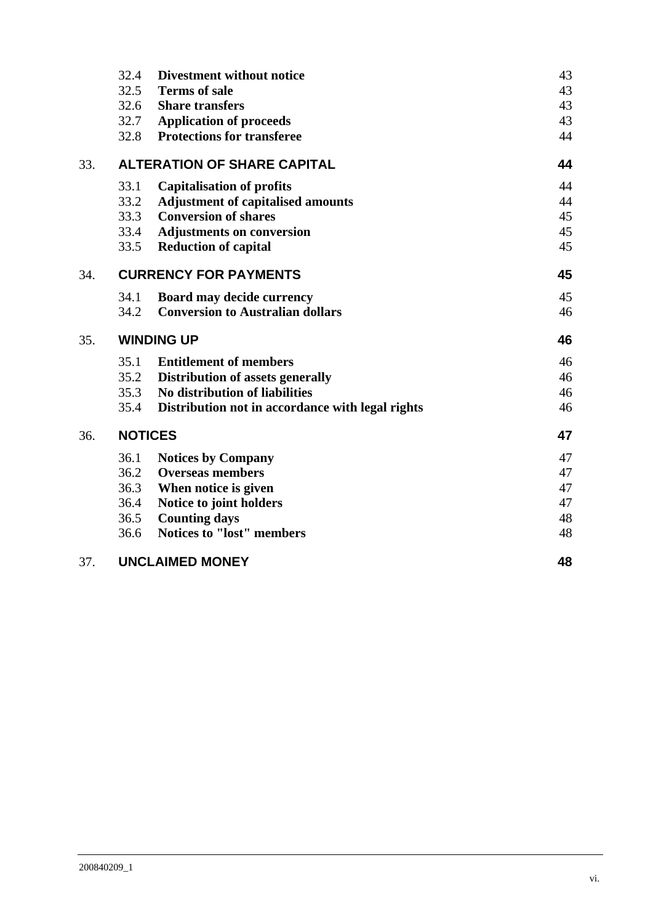|     | 32.4<br>Divestment without notice                        | 43 |
|-----|----------------------------------------------------------|----|
|     | 32.5<br><b>Terms of sale</b>                             | 43 |
|     | 32.6<br><b>Share transfers</b>                           | 43 |
|     | 32.7<br><b>Application of proceeds</b>                   | 43 |
|     | 32.8<br><b>Protections for transferee</b>                | 44 |
| 33. | <b>ALTERATION OF SHARE CAPITAL</b>                       | 44 |
|     | 33.1<br><b>Capitalisation of profits</b>                 | 44 |
|     | 33.2<br><b>Adjustment of capitalised amounts</b>         | 44 |
|     | <b>Conversion of shares</b><br>33.3                      | 45 |
|     | 33.4<br><b>Adjustments on conversion</b>                 | 45 |
|     | 33.5<br><b>Reduction of capital</b>                      | 45 |
| 34. | <b>CURRENCY FOR PAYMENTS</b>                             | 45 |
|     | 34.1<br>Board may decide currency                        | 45 |
|     | 34.2<br><b>Conversion to Australian dollars</b>          | 46 |
| 35. | <b>WINDING UP</b>                                        | 46 |
|     | 35.1<br><b>Entitlement of members</b>                    | 46 |
|     | 35.2<br>Distribution of assets generally                 | 46 |
|     | No distribution of liabilities<br>35.3                   | 46 |
|     | 35.4<br>Distribution not in accordance with legal rights | 46 |
| 36. | <b>NOTICES</b>                                           | 47 |
|     | 36.1<br><b>Notices by Company</b>                        | 47 |
|     | 36.2<br><b>Overseas members</b>                          | 47 |
|     | 36.3<br>When notice is given                             | 47 |
|     | 36.4<br>Notice to joint holders                          | 47 |
|     | 36.5<br><b>Counting days</b>                             | 48 |
|     | 36.6<br><b>Notices to "lost" members</b>                 | 48 |
| 37. | <b>UNCLAIMED MONEY</b>                                   | 48 |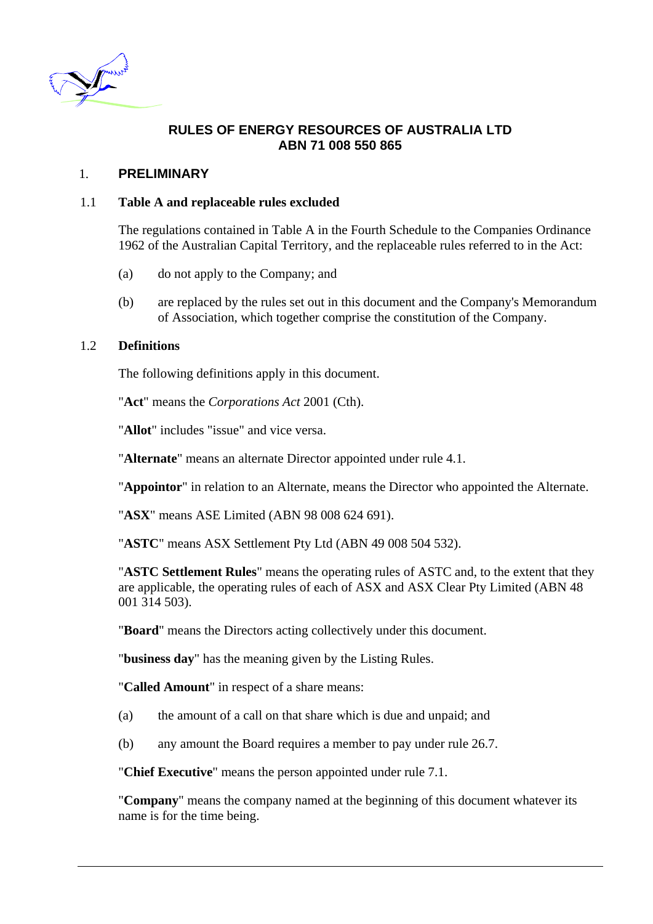<span id="page-7-0"></span>

# **RULES OF ENERGY RESOURCES OF AUSTRALIA LTD ABN 71 008 550 865**

# 1. **PRELIMINARY**

## 1.1 **Table A and replaceable rules excluded**

The regulations contained in Table A in the Fourth Schedule to the Companies Ordinance 1962 of the Australian Capital Territory, and the replaceable rules referred to in the Act:

- (a) do not apply to the Company; and
- (b) are replaced by the rules set out in this document and the Company's Memorandum of Association, which together comprise the constitution of the Company.

## <span id="page-7-1"></span>1.2 **Definitions**

The following definitions apply in this document.

"**Act**" means the *Corporations Act* 2001 (Cth).

"**Allot**" includes "issue" and vice versa.

"**Alternate**" means an alternate Director appointed under rule [4.1.](#page-12-1)

"**Appointor**" in relation to an Alternate, means the Director who appointed the Alternate.

"**ASX**" means ASE Limited (ABN 98 008 624 691).

"**ASTC**" means ASX Settlement Pty Ltd (ABN 49 008 504 532).

"**ASTC Settlement Rules**" means the operating rules of ASTC and, to the extent that they are applicable, the operating rules of each of ASX and ASX Clear Pty Limited (ABN 48 001 314 503).

"**Board**" means the Directors acting collectively under this document.

"**business day**" has the meaning given by the Listing Rules.

"**Called Amount**" in respect of a share means:

- (a) the amount of a call on that share which is due and unpaid; and
- (b) any amount the Board requires a member to pay under rule [26.7](#page-38-1).

"**Chief Executive**" means the person appointed under rule [7.1](#page-14-1).

"**Company**" means the company named at the beginning of this document whatever its name is for the time being.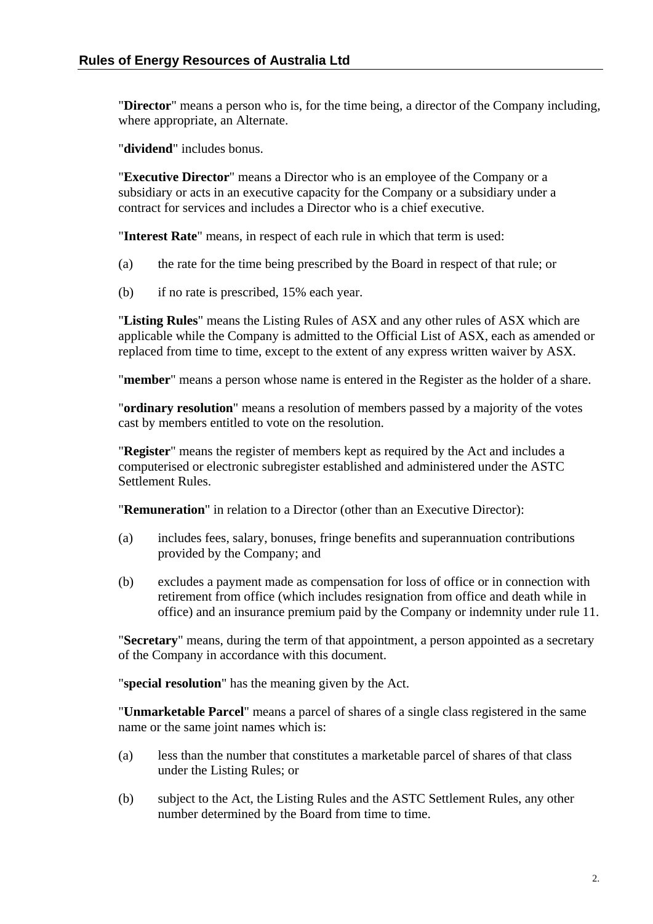"**Director**" means a person who is, for the time being, a director of the Company including, where appropriate, an Alternate.

"**dividend**" includes bonus.

"**Executive Director**" means a Director who is an employee of the Company or a subsidiary or acts in an executive capacity for the Company or a subsidiary under a contract for services and includes a Director who is a chief executive.

"**Interest Rate**" means, in respect of each rule in which that term is used:

- (a) the rate for the time being prescribed by the Board in respect of that rule; or
- (b) if no rate is prescribed, 15% each year.

"**Listing Rules**" means the Listing Rules of ASX and any other rules of ASX which are applicable while the Company is admitted to the Official List of ASX, each as amended or replaced from time to time, except to the extent of any express written waiver by ASX.

"**member**" means a person whose name is entered in the Register as the holder of a share.

"**ordinary resolution**" means a resolution of members passed by a majority of the votes cast by members entitled to vote on the resolution.

"**Register**" means the register of members kept as required by the Act and includes a computerised or electronic subregister established and administered under the ASTC Settlement Rules.

"**Remuneration**" in relation to a Director (other than an Executive Director):

- (a) includes fees, salary, bonuses, fringe benefits and superannuation contributions provided by the Company; and
- (b) excludes a payment made as compensation for loss of office or in connection with retirement from office (which includes resignation from office and death while in office) and an insurance premium paid by the Company or indemnity under rule [11](#page-19-1).

"**Secretary**" means, during the term of that appointment, a person appointed as a secretary of the Company in accordance with this document.

"**special resolution**" has the meaning given by the Act.

"**Unmarketable Parcel**" means a parcel of shares of a single class registered in the same name or the same joint names which is:

- (a) less than the number that constitutes a marketable parcel of shares of that class under the Listing Rules; or
- (b) subject to the Act, the Listing Rules and the ASTC Settlement Rules, any other number determined by the Board from time to time.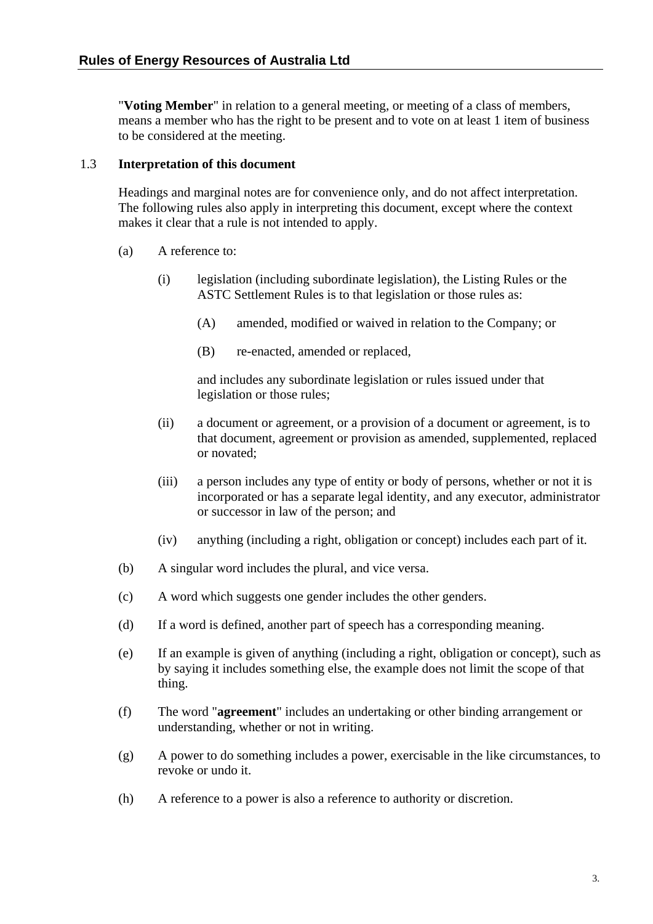<span id="page-9-0"></span>"**Voting Member**" in relation to a general meeting, or meeting of a class of members, means a member who has the right to be present and to vote on at least 1 item of business to be considered at the meeting.

## 1.3 **Interpretation of this document**

Headings and marginal notes are for convenience only, and do not affect interpretation. The following rules also apply in interpreting this document, except where the context makes it clear that a rule is not intended to apply.

- (a) A reference to:
	- (i) legislation (including subordinate legislation), the Listing Rules or the ASTC Settlement Rules is to that legislation or those rules as:
		- (A) amended, modified or waived in relation to the Company; or
		- (B) re-enacted, amended or replaced,

and includes any subordinate legislation or rules issued under that legislation or those rules;

- (ii) a document or agreement, or a provision of a document or agreement, is to that document, agreement or provision as amended, supplemented, replaced or novated;
- (iii) a person includes any type of entity or body of persons, whether or not it is incorporated or has a separate legal identity, and any executor, administrator or successor in law of the person; and
- (iv) anything (including a right, obligation or concept) includes each part of it.
- (b) A singular word includes the plural, and vice versa.
- (c) A word which suggests one gender includes the other genders.
- (d) If a word is defined, another part of speech has a corresponding meaning.
- (e) If an example is given of anything (including a right, obligation or concept), such as by saying it includes something else, the example does not limit the scope of that thing.
- (f) The word "**agreement**" includes an undertaking or other binding arrangement or understanding, whether or not in writing.
- (g) A power to do something includes a power, exercisable in the like circumstances, to revoke or undo it.
- (h) A reference to a power is also a reference to authority or discretion.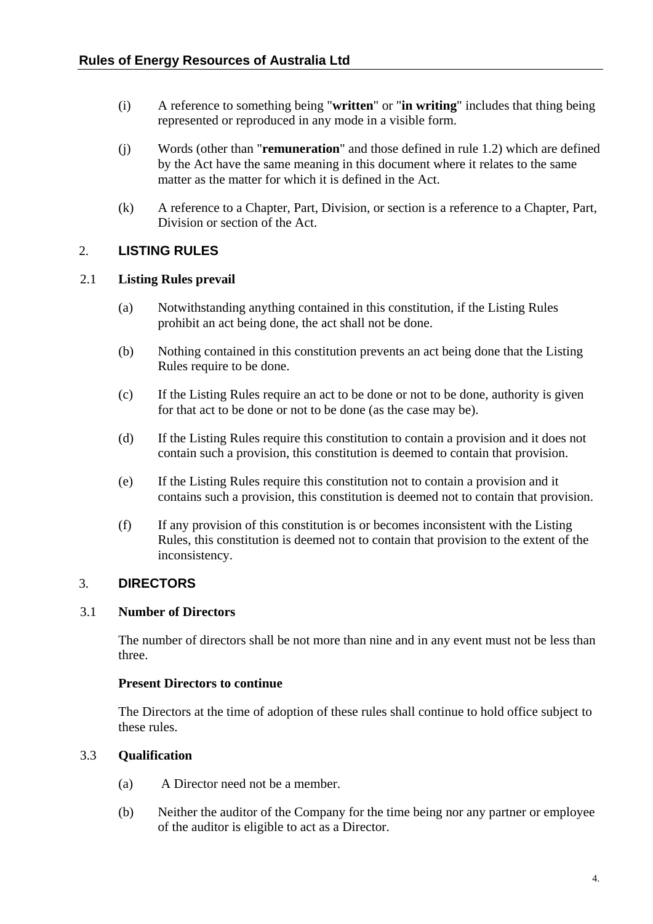- <span id="page-10-0"></span>(i) A reference to something being "**written**" or "**in writing**" includes that thing being represented or reproduced in any mode in a visible form.
- (j) Words (other than "**remuneration**" and those defined in rule [1.2](#page-7-1)) which are defined by the Act have the same meaning in this document where it relates to the same matter as the matter for which it is defined in the Act.
- (k) A reference to a Chapter, Part, Division, or section is a reference to a Chapter, Part, Division or section of the Act.

# 2. **LISTING RULES**

## 2.1 **Listing Rules prevail**

- (a) Notwithstanding anything contained in this constitution, if the Listing Rules prohibit an act being done, the act shall not be done.
- (b) Nothing contained in this constitution prevents an act being done that the Listing Rules require to be done.
- (c) If the Listing Rules require an act to be done or not to be done, authority is given for that act to be done or not to be done (as the case may be).
- (d) If the Listing Rules require this constitution to contain a provision and it does not contain such a provision, this constitution is deemed to contain that provision.
- (e) If the Listing Rules require this constitution not to contain a provision and it contains such a provision, this constitution is deemed not to contain that provision.
- (f) If any provision of this constitution is or becomes inconsistent with the Listing Rules, this constitution is deemed not to contain that provision to the extent of the inconsistency.

# 3. **DIRECTORS**

## <span id="page-10-1"></span>3.1 **Number of Directors**

The number of directors shall be not more than nine and in any event must not be less than three.

## 3.2 **Present Directors to continue**

The Directors at the time of adoption of these rules shall continue to hold office subject to these rules.

# <span id="page-10-2"></span>3.3 **Qualification**

- (a) A Director need not be a member.
- (b) Neither the auditor of the Company for the time being nor any partner or employee of the auditor is eligible to act as a Director.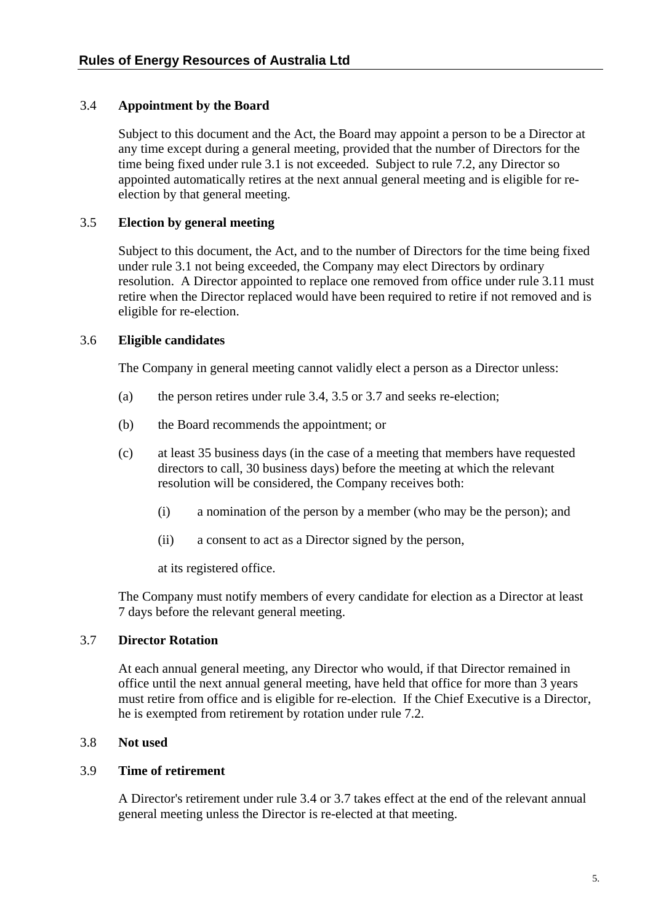# <span id="page-11-1"></span><span id="page-11-0"></span>3.4 **Appointment by the Board**

Subject to this document and the Act, the Board may appoint a person to be a Director at any time except during a general meeting, provided that the number of Directors for the time being fixed under rule [3.1](#page-10-1) is not exceeded. Subject to rule [7.2,](#page-14-2) any Director so appointed automatically retires at the next annual general meeting and is eligible for reelection by that general meeting.

## <span id="page-11-2"></span>3.5 **Election by general meeting**

Subject to this document, the Act, and to the number of Directors for the time being fixed under rule [3.1](#page-10-1) not being exceeded, the Company may elect Directors by ordinary resolution. A Director appointed to replace one removed from office under rule [3.11](#page-12-2) must retire when the Director replaced would have been required to retire if not removed and is eligible for re-election.

## 3.6 **Eligible candidates**

The Company in general meeting cannot validly elect a person as a Director unless:

- (a) the person retires under rule [3.4,](#page-11-1) [3.5](#page-11-2) or [3.7](#page-11-3) and seeks re-election;
- (b) the Board recommends the appointment; or
- (c) at least 35 business days (in the case of a meeting that members have requested directors to call, 30 business days) before the meeting at which the relevant resolution will be considered, the Company receives both:
	- (i) a nomination of the person by a member (who may be the person); and
	- (ii) a consent to act as a Director signed by the person,

at its registered office.

The Company must notify members of every candidate for election as a Director at least 7 days before the relevant general meeting.

## <span id="page-11-3"></span>3.7 **Director Rotation**

At each annual general meeting, any Director who would, if that Director remained in office until the next annual general meeting, have held that office for more than 3 years must retire from office and is eligible for re-election. If the Chief Executive is a Director, he is exempted from retirement by rotation under rule [7.2.](#page-14-2)

## 3.8 **Not used**

## 3.9 **Time of retirement**

A Director's retirement under rule [3.4](#page-11-1) or [3.7](#page-11-3) takes effect at the end of the relevant annual general meeting unless the Director is re-elected at that meeting.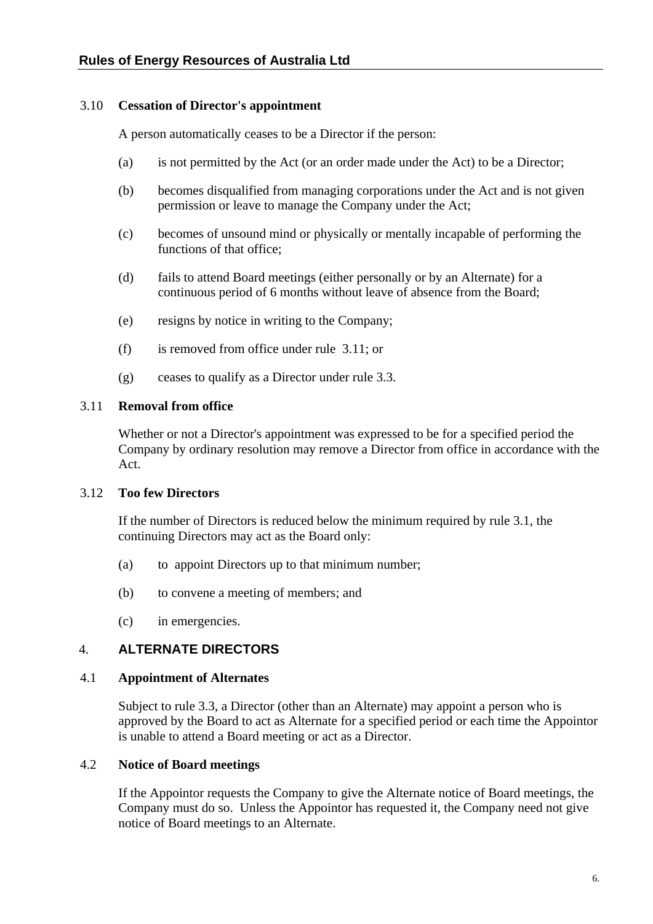## <span id="page-12-3"></span><span id="page-12-0"></span>3.10 **Cessation of Director's appointment**

A person automatically ceases to be a Director if the person:

- (a) is not permitted by the Act (or an order made under the Act) to be a Director;
- (b) becomes disqualified from managing corporations under the Act and is not given permission or leave to manage the Company under the Act;
- (c) becomes of unsound mind or physically or mentally incapable of performing the functions of that office;
- (d) fails to attend Board meetings (either personally or by an Alternate) for a continuous period of 6 months without leave of absence from the Board;
- (e) resigns by notice in writing to the Company;
- (f) is removed from office under rule [3.11](#page-12-2); or
- (g) ceases to qualify as a Director under rule [3.3](#page-10-2).

## <span id="page-12-2"></span>3.11 **Removal from office**

Whether or not a Director's appointment was expressed to be for a specified period the Company by ordinary resolution may remove a Director from office in accordance with the Act.

## 3.12 **Too few Directors**

If the number of Directors is reduced below the minimum required by rule [3.1](#page-10-1), the continuing Directors may act as the Board only:

- (a) to appoint Directors up to that minimum number;
- (b) to convene a meeting of members; and
- (c) in emergencies.

# 4. **ALTERNATE DIRECTORS**

## <span id="page-12-1"></span>4.1 **Appointment of Alternates**

Subject to rule [3.3,](#page-10-2) a Director (other than an Alternate) may appoint a person who is approved by the Board to act as Alternate for a specified period or each time the Appointor is unable to attend a Board meeting or act as a Director.

# <span id="page-12-4"></span>4.2 **Notice of Board meetings**

If the Appointor requests the Company to give the Alternate notice of Board meetings, the Company must do so. Unless the Appointor has requested it, the Company need not give notice of Board meetings to an Alternate.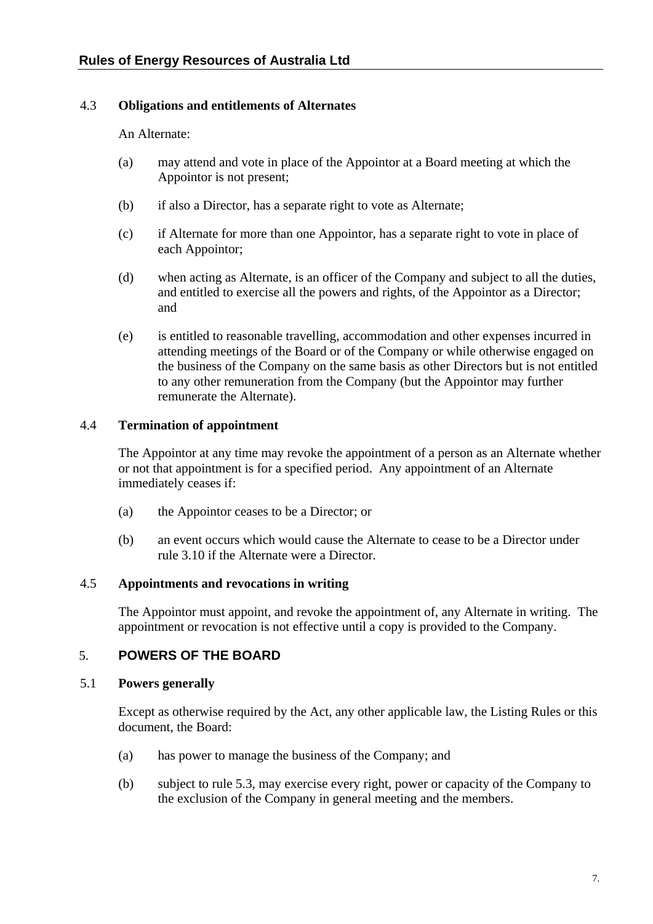# <span id="page-13-0"></span>4.3 **Obligations and entitlements of Alternates**

An Alternate:

- (a) may attend and vote in place of the Appointor at a Board meeting at which the Appointor is not present;
- (b) if also a Director, has a separate right to vote as Alternate;
- (c) if Alternate for more than one Appointor, has a separate right to vote in place of each Appointor;
- (d) when acting as Alternate, is an officer of the Company and subject to all the duties, and entitled to exercise all the powers and rights, of the Appointor as a Director; and
- (e) is entitled to reasonable travelling, accommodation and other expenses incurred in attending meetings of the Board or of the Company or while otherwise engaged on the business of the Company on the same basis as other Directors but is not entitled to any other remuneration from the Company (but the Appointor may further remunerate the Alternate).

## 4.4 **Termination of appointment**

The Appointor at any time may revoke the appointment of a person as an Alternate whether or not that appointment is for a specified period. Any appointment of an Alternate immediately ceases if:

- (a) the Appointor ceases to be a Director; or
- (b) an event occurs which would cause the Alternate to cease to be a Director under rule [3.10](#page-12-3) if the Alternate were a Director.

# 4.5 **Appointments and revocations in writing**

The Appointor must appoint, and revoke the appointment of, any Alternate in writing. The appointment or revocation is not effective until a copy is provided to the Company.

# 5. **POWERS OF THE BOARD**

## 5.1 **Powers generally**

Except as otherwise required by the Act, any other applicable law, the Listing Rules or this document, the Board:

- (a) has power to manage the business of the Company; and
- (b) subject to rule [5.3,](#page-14-3) may exercise every right, power or capacity of the Company to the exclusion of the Company in general meeting and the members.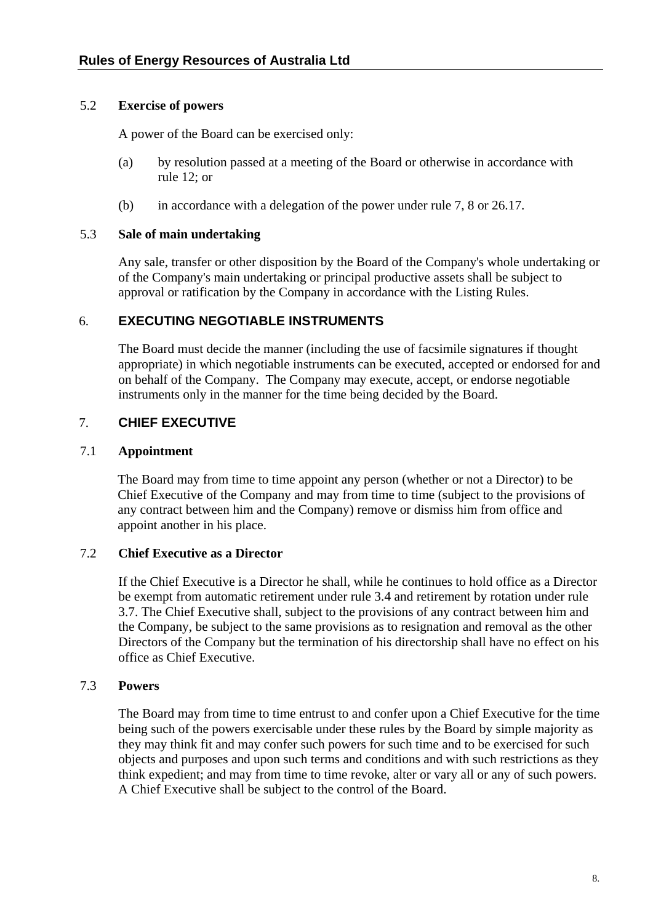## <span id="page-14-0"></span>5.2 **Exercise of powers**

A power of the Board can be exercised only:

- (a) by resolution passed at a meeting of the Board or otherwise in accordance with rule [12;](#page-20-1) or
- (b) in accordance with a delegation of the power under rule [7,](#page-14-4) [8](#page-15-1) or [26.17.](#page-40-1)

## <span id="page-14-3"></span>5.3 **Sale of main undertaking**

Any sale, transfer or other disposition by the Board of the Company's whole undertaking or of the Company's main undertaking or principal productive assets shall be subject to approval or ratification by the Company in accordance with the Listing Rules.

# 6. **EXECUTING NEGOTIABLE INSTRUMENTS**

The Board must decide the manner (including the use of facsimile signatures if thought appropriate) in which negotiable instruments can be executed, accepted or endorsed for and on behalf of the Company. The Company may execute, accept, or endorse negotiable instruments only in the manner for the time being decided by the Board.

# <span id="page-14-4"></span>7. **CHIEF EXECUTIVE**

## <span id="page-14-1"></span>7.1 **Appointment**

The Board may from time to time appoint any person (whether or not a Director) to be Chief Executive of the Company and may from time to time (subject to the provisions of any contract between him and the Company) remove or dismiss him from office and appoint another in his place.

# <span id="page-14-2"></span>7.2 **Chief Executive as a Director**

If the Chief Executive is a Director he shall, while he continues to hold office as a Director be exempt from automatic retirement under rule 3.4 and retirement by rotation under rule 3.7. The Chief Executive shall, subject to the provisions of any contract between him and the Company, be subject to the same provisions as to resignation and removal as the other Directors of the Company but the termination of his directorship shall have no effect on his office as Chief Executive.

# 7.3 **Powers**

The Board may from time to time entrust to and confer upon a Chief Executive for the time being such of the powers exercisable under these rules by the Board by simple majority as they may think fit and may confer such powers for such time and to be exercised for such objects and purposes and upon such terms and conditions and with such restrictions as they think expedient; and may from time to time revoke, alter or vary all or any of such powers. A Chief Executive shall be subject to the control of the Board.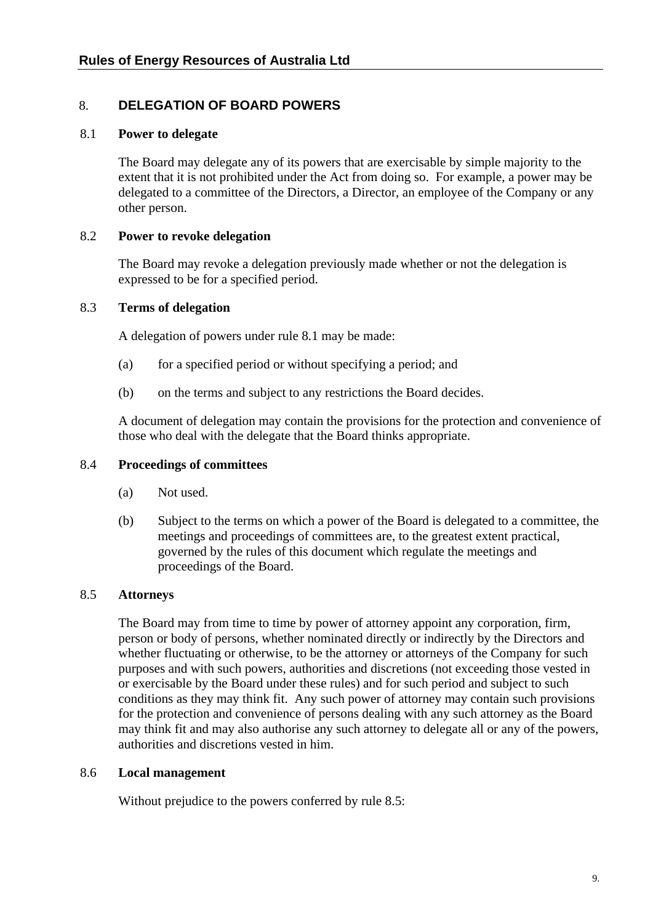# <span id="page-15-1"></span><span id="page-15-0"></span>8. **DELEGATION OF BOARD POWERS**

## <span id="page-15-2"></span>8.1 **Power to delegate**

The Board may delegate any of its powers that are exercisable by simple majority to the extent that it is not prohibited under the Act from doing so. For example, a power may be delegated to a committee of the Directors, a Director, an employee of the Company or any other person.

## 8.2 **Power to revoke delegation**

The Board may revoke a delegation previously made whether or not the delegation is expressed to be for a specified period.

## 8.3 **Terms of delegation**

A delegation of powers under rule [8.1](#page-15-2) may be made:

- (a) for a specified period or without specifying a period; and
- (b) on the terms and subject to any restrictions the Board decides.

A document of delegation may contain the provisions for the protection and convenience of those who deal with the delegate that the Board thinks appropriate.

## 8.4 **Proceedings of committees**

- (a) Not used.
- (b) Subject to the terms on which a power of the Board is delegated to a committee, the meetings and proceedings of committees are, to the greatest extent practical, governed by the rules of this document which regulate the meetings and proceedings of the Board.

## <span id="page-15-3"></span>8.5 **Attorneys**

The Board may from time to time by power of attorney appoint any corporation, firm, person or body of persons, whether nominated directly or indirectly by the Directors and whether fluctuating or otherwise, to be the attorney or attorneys of the Company for such purposes and with such powers, authorities and discretions (not exceeding those vested in or exercisable by the Board under these rules) and for such period and subject to such conditions as they may think fit. Any such power of attorney may contain such provisions for the protection and convenience of persons dealing with any such attorney as the Board may think fit and may also authorise any such attorney to delegate all or any of the powers, authorities and discretions vested in him.

## 8.6 **Local management**

Without prejudice to the powers conferred by rule [8.5](#page-15-3):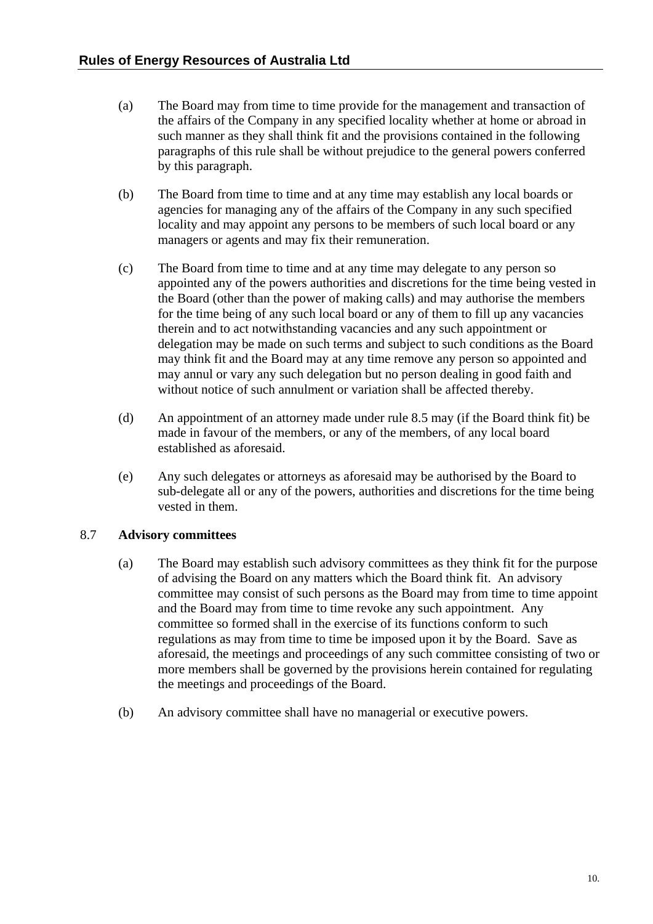- <span id="page-16-0"></span>(a) The Board may from time to time provide for the management and transaction of the affairs of the Company in any specified locality whether at home or abroad in such manner as they shall think fit and the provisions contained in the following paragraphs of this rule shall be without prejudice to the general powers conferred by this paragraph.
- (b) The Board from time to time and at any time may establish any local boards or agencies for managing any of the affairs of the Company in any such specified locality and may appoint any persons to be members of such local board or any managers or agents and may fix their remuneration.
- (c) The Board from time to time and at any time may delegate to any person so appointed any of the powers authorities and discretions for the time being vested in the Board (other than the power of making calls) and may authorise the members for the time being of any such local board or any of them to fill up any vacancies therein and to act notwithstanding vacancies and any such appointment or delegation may be made on such terms and subject to such conditions as the Board may think fit and the Board may at any time remove any person so appointed and may annul or vary any such delegation but no person dealing in good faith and without notice of such annulment or variation shall be affected thereby.
- (d) An appointment of an attorney made under rule [8.5](#page-15-3) may (if the Board think fit) be made in favour of the members, or any of the members, of any local board established as aforesaid.
- (e) Any such delegates or attorneys as aforesaid may be authorised by the Board to sub-delegate all or any of the powers, authorities and discretions for the time being vested in them.

# 8.7 **Advisory committees**

- (a) The Board may establish such advisory committees as they think fit for the purpose of advising the Board on any matters which the Board think fit. An advisory committee may consist of such persons as the Board may from time to time appoint and the Board may from time to time revoke any such appointment. Any committee so formed shall in the exercise of its functions conform to such regulations as may from time to time be imposed upon it by the Board. Save as aforesaid, the meetings and proceedings of any such committee consisting of two or more members shall be governed by the provisions herein contained for regulating the meetings and proceedings of the Board.
- (b) An advisory committee shall have no managerial or executive powers.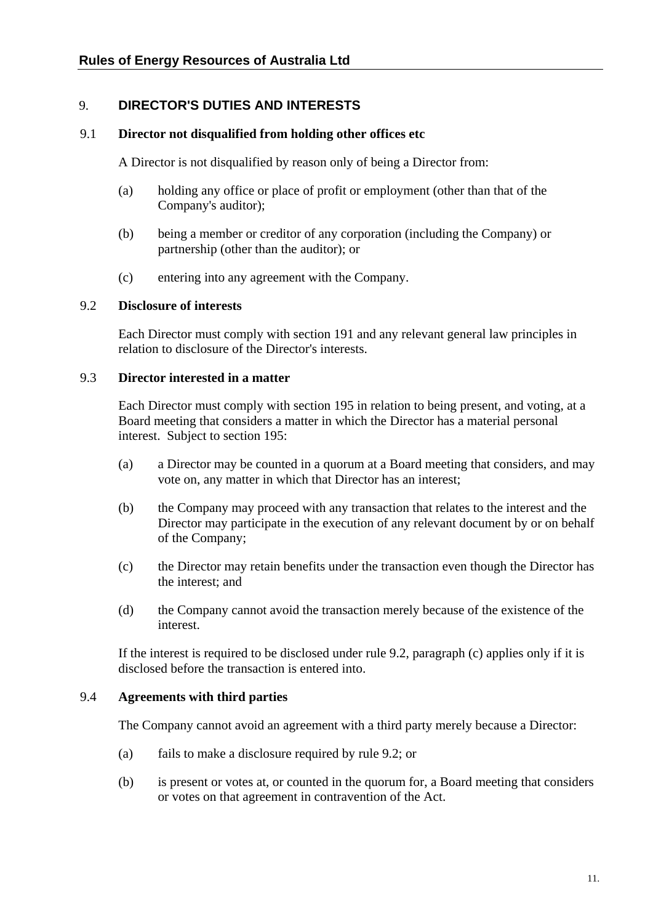# <span id="page-17-2"></span><span id="page-17-0"></span>9. **DIRECTOR'S DUTIES AND INTERESTS**

#### 9.1 **Director not disqualified from holding other offices etc**

A Director is not disqualified by reason only of being a Director from:

- (a) holding any office or place of profit or employment (other than that of the Company's auditor);
- (b) being a member or creditor of any corporation (including the Company) or partnership (other than the auditor); or
- (c) entering into any agreement with the Company.

#### <span id="page-17-1"></span>9.2 **Disclosure of interests**

Each Director must comply with section 191 and any relevant general law principles in relation to disclosure of the Director's interests.

## 9.3 **Director interested in a matter**

Each Director must comply with section 195 in relation to being present, and voting, at a Board meeting that considers a matter in which the Director has a material personal interest. Subject to section 195:

- (a) a Director may be counted in a quorum at a Board meeting that considers, and may vote on, any matter in which that Director has an interest;
- (b) the Company may proceed with any transaction that relates to the interest and the Director may participate in the execution of any relevant document by or on behalf of the Company;
- (c) the Director may retain benefits under the transaction even though the Director has the interest; and
- (d) the Company cannot avoid the transaction merely because of the existence of the interest.

If the interest is required to be disclosed under rule [9.2](#page-17-1), paragraph (c) applies only if it is disclosed before the transaction is entered into.

#### 9.4 **Agreements with third parties**

The Company cannot avoid an agreement with a third party merely because a Director:

- (a) fails to make a disclosure required by rule [9.2;](#page-17-1) or
- (b) is present or votes at, or counted in the quorum for, a Board meeting that considers or votes on that agreement in contravention of the Act.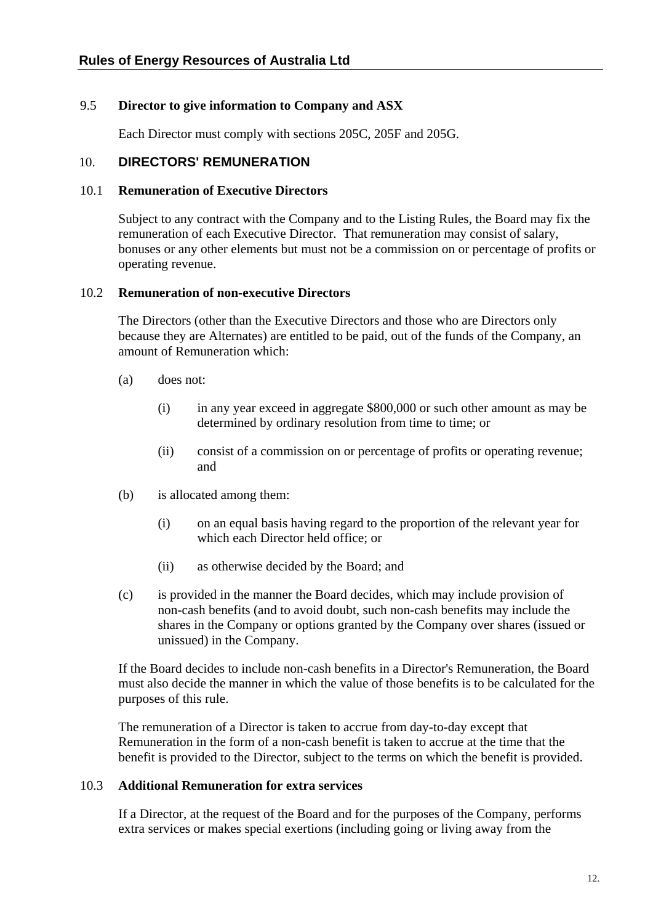## <span id="page-18-0"></span>9.5 **Director to give information to Company and ASX**

Each Director must comply with sections 205C, 205F and 205G.

## 10. **DIRECTORS' REMUNERATION**

#### <span id="page-18-1"></span>10.1 **Remuneration of Executive Directors**

Subject to any contract with the Company and to the Listing Rules, the Board may fix the remuneration of each Executive Director. That remuneration may consist of salary, bonuses or any other elements but must not be a commission on or percentage of profits or operating revenue.

## <span id="page-18-2"></span>10.2 **Remuneration of non-executive Directors**

The Directors (other than the Executive Directors and those who are Directors only because they are Alternates) are entitled to be paid, out of the funds of the Company, an amount of Remuneration which:

- (a) does not:
	- (i) in any year exceed in aggregate \$800,000 or such other amount as may be determined by ordinary resolution from time to time; or
	- (ii) consist of a commission on or percentage of profits or operating revenue; and
- (b) is allocated among them:
	- (i) on an equal basis having regard to the proportion of the relevant year for which each Director held office; or
	- (ii) as otherwise decided by the Board; and
- (c) is provided in the manner the Board decides, which may include provision of non-cash benefits (and to avoid doubt, such non-cash benefits may include the shares in the Company or options granted by the Company over shares (issued or unissued) in the Company.

If the Board decides to include non-cash benefits in a Director's Remuneration, the Board must also decide the manner in which the value of those benefits is to be calculated for the purposes of this rule.

The remuneration of a Director is taken to accrue from day-to-day except that Remuneration in the form of a non-cash benefit is taken to accrue at the time that the benefit is provided to the Director, subject to the terms on which the benefit is provided.

## 10.3 **Additional Remuneration for extra services**

If a Director, at the request of the Board and for the purposes of the Company, performs extra services or makes special exertions (including going or living away from the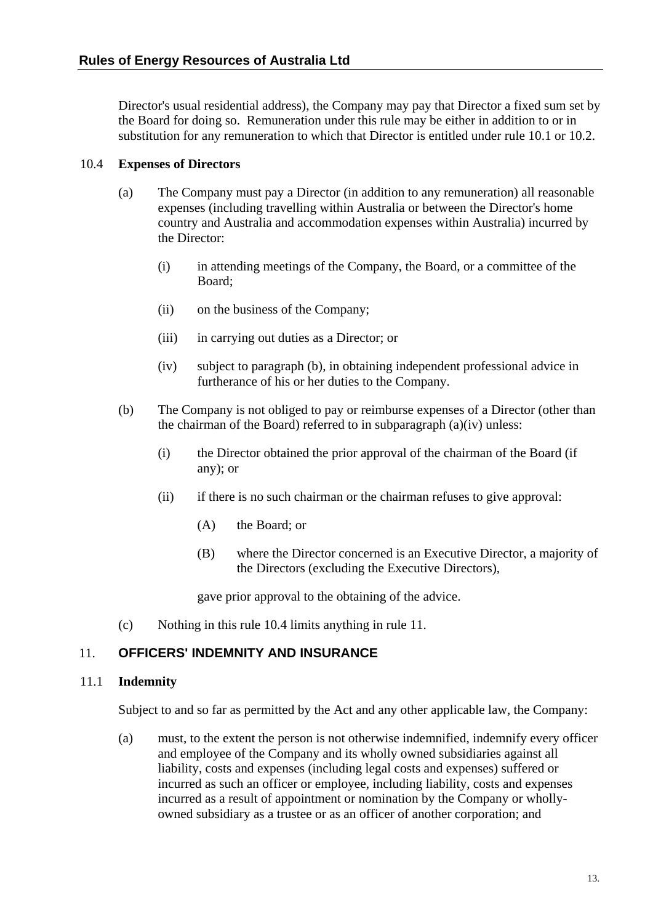<span id="page-19-0"></span>Director's usual residential address), the Company may pay that Director a fixed sum set by the Board for doing so. Remuneration under this rule may be either in addition to or in substitution for any remuneration to which that Director is entitled under rule [10.1](#page-18-1) or [10.2.](#page-18-2)

## 10.4 **Expenses of Directors**

- (a) The Company must pay a Director (in addition to any remuneration) all reasonable expenses (including travelling within Australia or between the Director's home country and Australia and accommodation expenses within Australia) incurred by the Director:
	- (i) in attending meetings of the Company, the Board, or a committee of the Board;
	- (ii) on the business of the Company;
	- (iii) in carrying out duties as a Director; or
	- (iv) subject to paragraph (b), in obtaining independent professional advice in furtherance of his or her duties to the Company.
- (b) The Company is not obliged to pay or reimburse expenses of a Director (other than the chairman of the Board) referred to in subparagraph (a)(iv) unless:
	- (i) the Director obtained the prior approval of the chairman of the Board (if any); or
	- (ii) if there is no such chairman or the chairman refuses to give approval:
		- (A) the Board; or
		- (B) where the Director concerned is an Executive Director, a majority of the Directors (excluding the Executive Directors),

gave prior approval to the obtaining of the advice.

(c) Nothing in this rule 10.4 limits anything in rule 11.

# <span id="page-19-1"></span>11. **OFFICERS' INDEMNITY AND INSURANCE**

## <span id="page-19-2"></span>11.1 **Indemnity**

Subject to and so far as permitted by the Act and any other applicable law, the Company:

(a) must, to the extent the person is not otherwise indemnified, indemnify every officer and employee of the Company and its wholly owned subsidiaries against all liability, costs and expenses (including legal costs and expenses) suffered or incurred as such an officer or employee, including liability, costs and expenses incurred as a result of appointment or nomination by the Company or whollyowned subsidiary as a trustee or as an officer of another corporation; and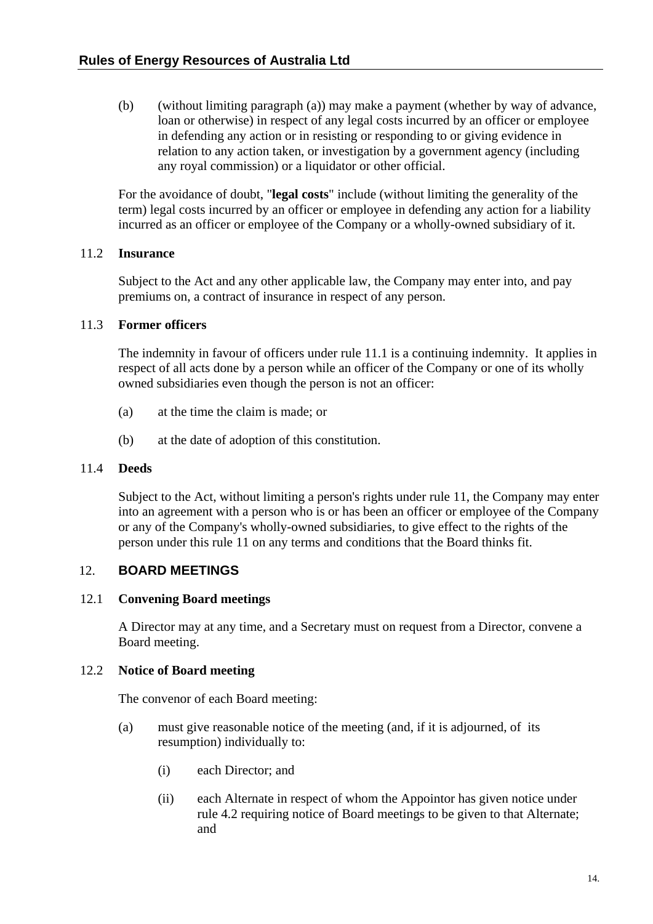<span id="page-20-0"></span>(b) (without limiting paragraph (a)) may make a payment (whether by way of advance, loan or otherwise) in respect of any legal costs incurred by an officer or employee in defending any action or in resisting or responding to or giving evidence in relation to any action taken, or investigation by a government agency (including any royal commission) or a liquidator or other official.

For the avoidance of doubt, "**legal costs**" include (without limiting the generality of the term) legal costs incurred by an officer or employee in defending any action for a liability incurred as an officer or employee of the Company or a wholly-owned subsidiary of it.

# 11.2 **Insurance**

Subject to the Act and any other applicable law, the Company may enter into, and pay premiums on, a contract of insurance in respect of any person.

## 11.3 **Former officers**

The indemnity in favour of officers under rule [11.1](#page-19-2) is a continuing indemnity. It applies in respect of all acts done by a person while an officer of the Company or one of its wholly owned subsidiaries even though the person is not an officer:

- (a) at the time the claim is made; or
- (b) at the date of adoption of this constitution.

## 11.4 **Deeds**

Subject to the Act, without limiting a person's rights under rule [11](#page-19-1), the Company may enter into an agreement with a person who is or has been an officer or employee of the Company or any of the Company's wholly-owned subsidiaries, to give effect to the rights of the person under this rule [11](#page-19-1) on any terms and conditions that the Board thinks fit.

# <span id="page-20-1"></span>12. **BOARD MEETINGS**

## 12.1 **Convening Board meetings**

A Director may at any time, and a Secretary must on request from a Director, convene a Board meeting.

## <span id="page-20-2"></span>12.2 **Notice of Board meeting**

The convenor of each Board meeting:

- (a) must give reasonable notice of the meeting (and, if it is adjourned, of its resumption) individually to:
	- (i) each Director; and
	- (ii) each Alternate in respect of whom the Appointor has given notice under rule [4.2](#page-12-4) requiring notice of Board meetings to be given to that Alternate; and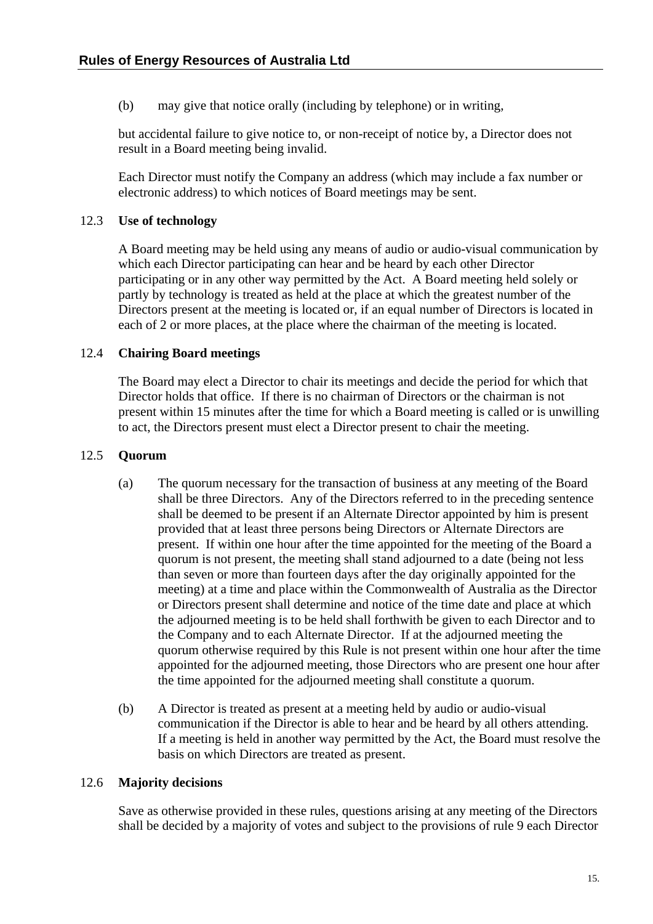<span id="page-21-0"></span>(b) may give that notice orally (including by telephone) or in writing,

but accidental failure to give notice to, or non-receipt of notice by, a Director does not result in a Board meeting being invalid.

Each Director must notify the Company an address (which may include a fax number or electronic address) to which notices of Board meetings may be sent.

## 12.3 **Use of technology**

A Board meeting may be held using any means of audio or audio-visual communication by which each Director participating can hear and be heard by each other Director participating or in any other way permitted by the Act. A Board meeting held solely or partly by technology is treated as held at the place at which the greatest number of the Directors present at the meeting is located or, if an equal number of Directors is located in each of 2 or more places, at the place where the chairman of the meeting is located.

## 12.4 **Chairing Board meetings**

The Board may elect a Director to chair its meetings and decide the period for which that Director holds that office. If there is no chairman of Directors or the chairman is not present within 15 minutes after the time for which a Board meeting is called or is unwilling to act, the Directors present must elect a Director present to chair the meeting.

## 12.5 **Quorum**

- (a) The quorum necessary for the transaction of business at any meeting of the Board shall be three Directors. Any of the Directors referred to in the preceding sentence shall be deemed to be present if an Alternate Director appointed by him is present provided that at least three persons being Directors or Alternate Directors are present. If within one hour after the time appointed for the meeting of the Board a quorum is not present, the meeting shall stand adjourned to a date (being not less than seven or more than fourteen days after the day originally appointed for the meeting) at a time and place within the Commonwealth of Australia as the Director or Directors present shall determine and notice of the time date and place at which the adjourned meeting is to be held shall forthwith be given to each Director and to the Company and to each Alternate Director. If at the adjourned meeting the quorum otherwise required by this Rule is not present within one hour after the time appointed for the adjourned meeting, those Directors who are present one hour after the time appointed for the adjourned meeting shall constitute a quorum.
- (b) A Director is treated as present at a meeting held by audio or audio-visual communication if the Director is able to hear and be heard by all others attending. If a meeting is held in another way permitted by the Act, the Board must resolve the basis on which Directors are treated as present.

## 12.6 **Majority decisions**

Save as otherwise provided in these rules, questions arising at any meeting of the Directors shall be decided by a majority of votes and subject to the provisions of rule [9](#page-17-2) each Director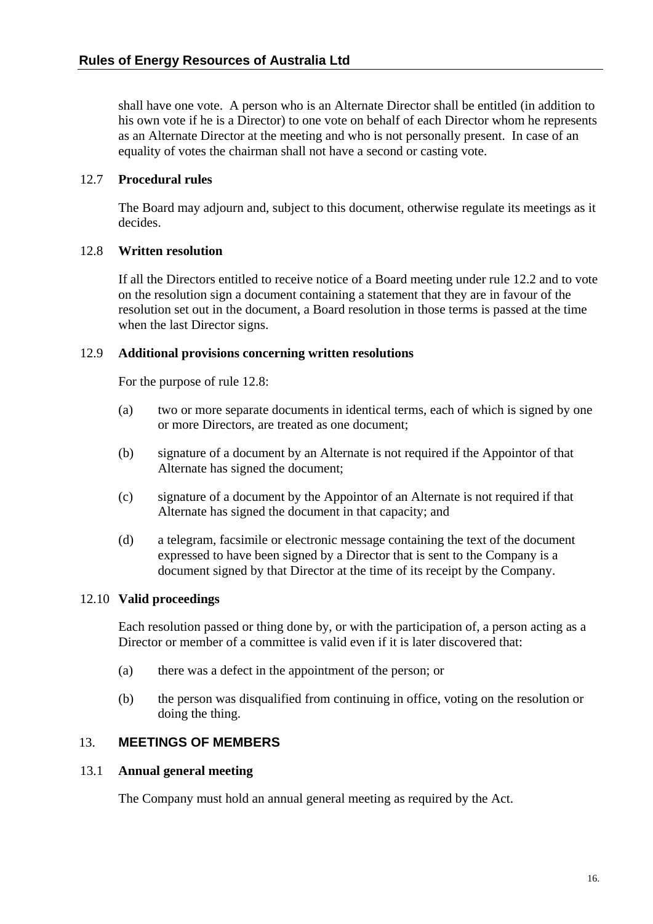<span id="page-22-0"></span>shall have one vote. A person who is an Alternate Director shall be entitled (in addition to his own vote if he is a Director) to one vote on behalf of each Director whom he represents as an Alternate Director at the meeting and who is not personally present. In case of an equality of votes the chairman shall not have a second or casting vote.

## 12.7 **Procedural rules**

The Board may adjourn and, subject to this document, otherwise regulate its meetings as it decides.

## <span id="page-22-1"></span>12.8 **Written resolution**

If all the Directors entitled to receive notice of a Board meeting under rule [12.2](#page-20-2) and to vote on the resolution sign a document containing a statement that they are in favour of the resolution set out in the document, a Board resolution in those terms is passed at the time when the last Director signs.

## 12.9 **Additional provisions concerning written resolutions**

For the purpose of rule [12.8:](#page-22-1)

- (a) two or more separate documents in identical terms, each of which is signed by one or more Directors, are treated as one document;
- (b) signature of a document by an Alternate is not required if the Appointor of that Alternate has signed the document;
- (c) signature of a document by the Appointor of an Alternate is not required if that Alternate has signed the document in that capacity; and
- (d) a telegram, facsimile or electronic message containing the text of the document expressed to have been signed by a Director that is sent to the Company is a document signed by that Director at the time of its receipt by the Company.

## 12.10 **Valid proceedings**

Each resolution passed or thing done by, or with the participation of, a person acting as a Director or member of a committee is valid even if it is later discovered that:

- (a) there was a defect in the appointment of the person; or
- (b) the person was disqualified from continuing in office, voting on the resolution or doing the thing.

## <span id="page-22-2"></span>13. **MEETINGS OF MEMBERS**

#### 13.1 **Annual general meeting**

The Company must hold an annual general meeting as required by the Act.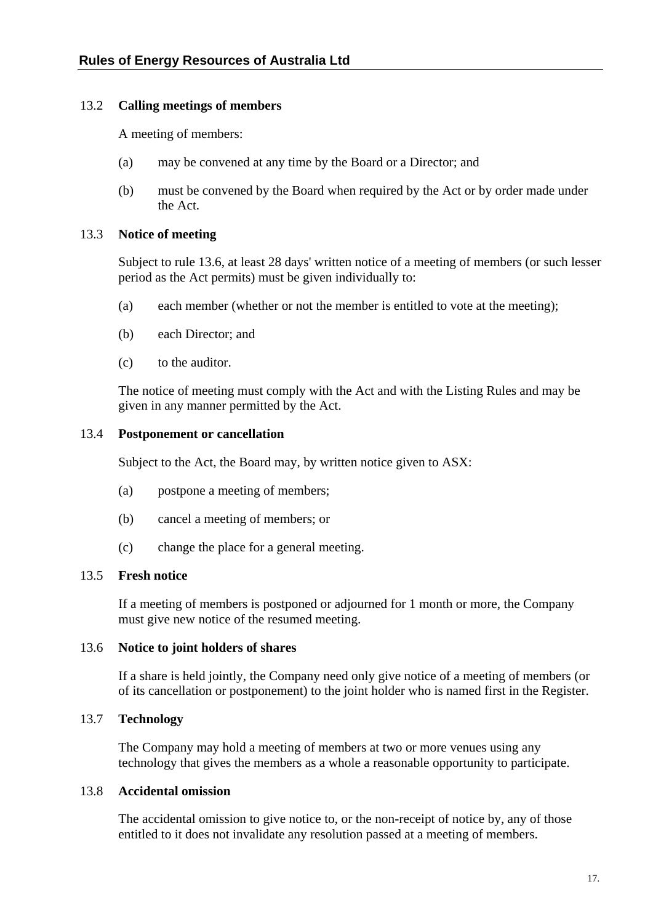## <span id="page-23-0"></span>13.2 **Calling meetings of members**

A meeting of members:

- (a) may be convened at any time by the Board or a Director; and
- (b) must be convened by the Board when required by the Act or by order made under the Act.

## 13.3 **Notice of meeting**

Subject to rule [13.6,](#page-23-1) at least 28 days' written notice of a meeting of members (or such lesser period as the Act permits) must be given individually to:

- (a) each member (whether or not the member is entitled to vote at the meeting);
- (b) each Director; and
- (c) to the auditor.

The notice of meeting must comply with the Act and with the Listing Rules and may be given in any manner permitted by the Act.

#### 13.4 **Postponement or cancellation**

Subject to the Act, the Board may, by written notice given to ASX:

- (a) postpone a meeting of members;
- (b) cancel a meeting of members; or
- (c) change the place for a general meeting.

## <span id="page-23-3"></span>13.5 **Fresh notice**

If a meeting of members is postponed or adjourned for 1 month or more, the Company must give new notice of the resumed meeting.

#### <span id="page-23-1"></span>13.6 **Notice to joint holders of shares**

If a share is held jointly, the Company need only give notice of a meeting of members (or of its cancellation or postponement) to the joint holder who is named first in the Register.

## <span id="page-23-2"></span>13.7 **Technology**

The Company may hold a meeting of members at two or more venues using any technology that gives the members as a whole a reasonable opportunity to participate.

## 13.8 **Accidental omission**

The accidental omission to give notice to, or the non-receipt of notice by, any of those entitled to it does not invalidate any resolution passed at a meeting of members.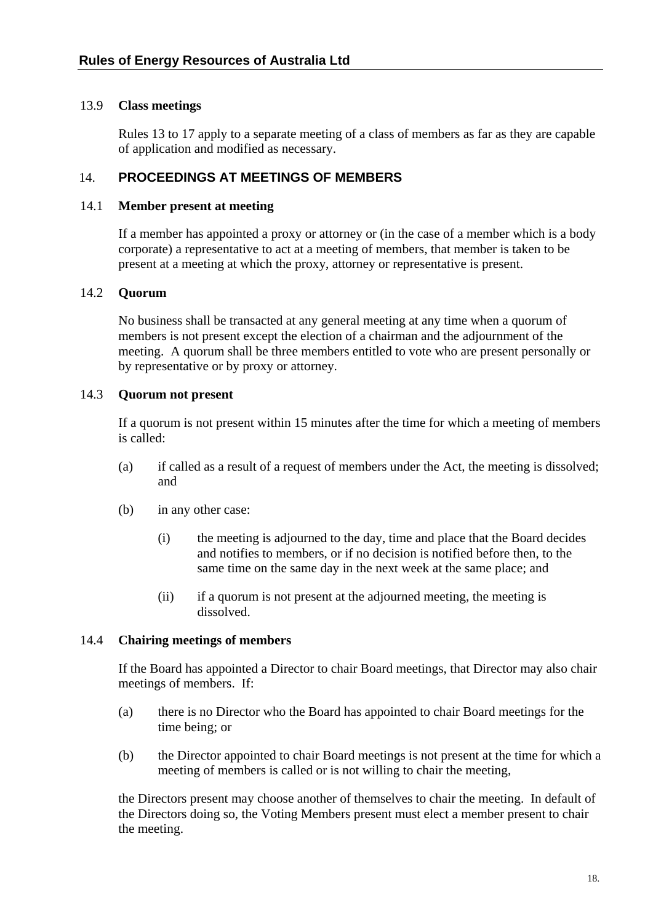## <span id="page-24-0"></span>13.9 **Class meetings**

Rules [13](#page-22-2) to [17](#page-30-1) apply to a separate meeting of a class of members as far as they are capable of application and modified as necessary.

# 14. **PROCEEDINGS AT MEETINGS OF MEMBERS**

#### 14.1 **Member present at meeting**

If a member has appointed a proxy or attorney or (in the case of a member which is a body corporate) a representative to act at a meeting of members, that member is taken to be present at a meeting at which the proxy, attorney or representative is present.

## 14.2 **Quorum**

No business shall be transacted at any general meeting at any time when a quorum of members is not present except the election of a chairman and the adjournment of the meeting. A quorum shall be three members entitled to vote who are present personally or by representative or by proxy or attorney.

## 14.3 **Quorum not present**

If a quorum is not present within 15 minutes after the time for which a meeting of members is called:

- (a) if called as a result of a request of members under the Act, the meeting is dissolved; and
- (b) in any other case:
	- (i) the meeting is adjourned to the day, time and place that the Board decides and notifies to members, or if no decision is notified before then, to the same time on the same day in the next week at the same place; and
	- (ii) if a quorum is not present at the adjourned meeting, the meeting is dissolved.

## 14.4 **Chairing meetings of members**

If the Board has appointed a Director to chair Board meetings, that Director may also chair meetings of members. If:

- (a) there is no Director who the Board has appointed to chair Board meetings for the time being; or
- (b) the Director appointed to chair Board meetings is not present at the time for which a meeting of members is called or is not willing to chair the meeting,

the Directors present may choose another of themselves to chair the meeting. In default of the Directors doing so, the Voting Members present must elect a member present to chair the meeting.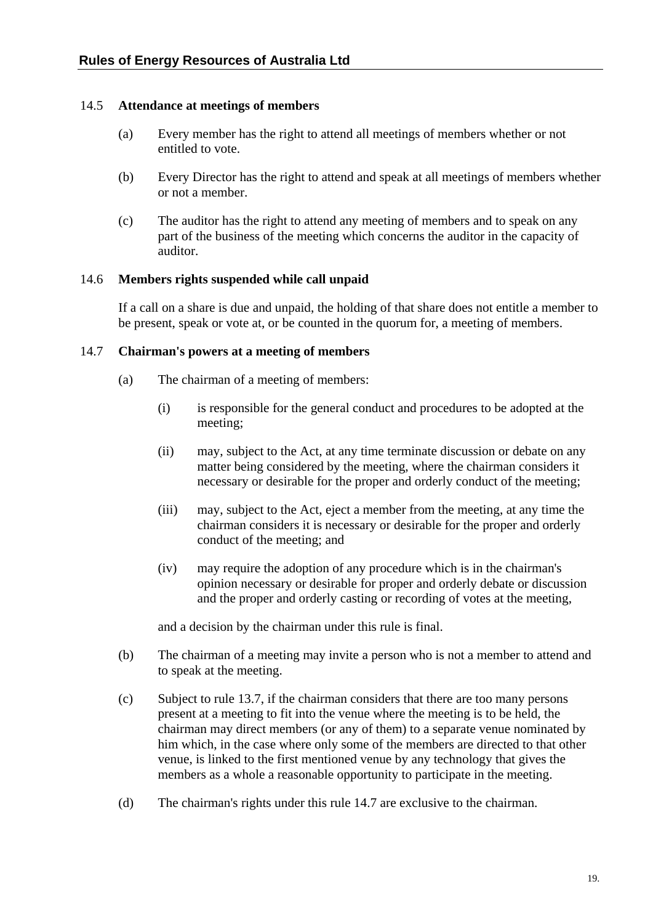## <span id="page-25-0"></span>14.5 **Attendance at meetings of members**

- (a) Every member has the right to attend all meetings of members whether or not entitled to vote.
- (b) Every Director has the right to attend and speak at all meetings of members whether or not a member.
- (c) The auditor has the right to attend any meeting of members and to speak on any part of the business of the meeting which concerns the auditor in the capacity of auditor.

#### <span id="page-25-2"></span>14.6 **Members rights suspended while call unpaid**

If a call on a share is due and unpaid, the holding of that share does not entitle a member to be present, speak or vote at, or be counted in the quorum for, a meeting of members.

#### <span id="page-25-1"></span>14.7 **Chairman's powers at a meeting of members**

- (a) The chairman of a meeting of members:
	- (i) is responsible for the general conduct and procedures to be adopted at the meeting;
	- (ii) may, subject to the Act, at any time terminate discussion or debate on any matter being considered by the meeting, where the chairman considers it necessary or desirable for the proper and orderly conduct of the meeting;
	- (iii) may, subject to the Act, eject a member from the meeting, at any time the chairman considers it is necessary or desirable for the proper and orderly conduct of the meeting; and
	- (iv) may require the adoption of any procedure which is in the chairman's opinion necessary or desirable for proper and orderly debate or discussion and the proper and orderly casting or recording of votes at the meeting,

and a decision by the chairman under this rule is final.

- (b) The chairman of a meeting may invite a person who is not a member to attend and to speak at the meeting.
- (c) Subject to rule [13.7,](#page-23-2) if the chairman considers that there are too many persons present at a meeting to fit into the venue where the meeting is to be held, the chairman may direct members (or any of them) to a separate venue nominated by him which, in the case where only some of the members are directed to that other venue, is linked to the first mentioned venue by any technology that gives the members as a whole a reasonable opportunity to participate in the meeting.
- (d) The chairman's rights under this rule [14.7](#page-25-1) are exclusive to the chairman.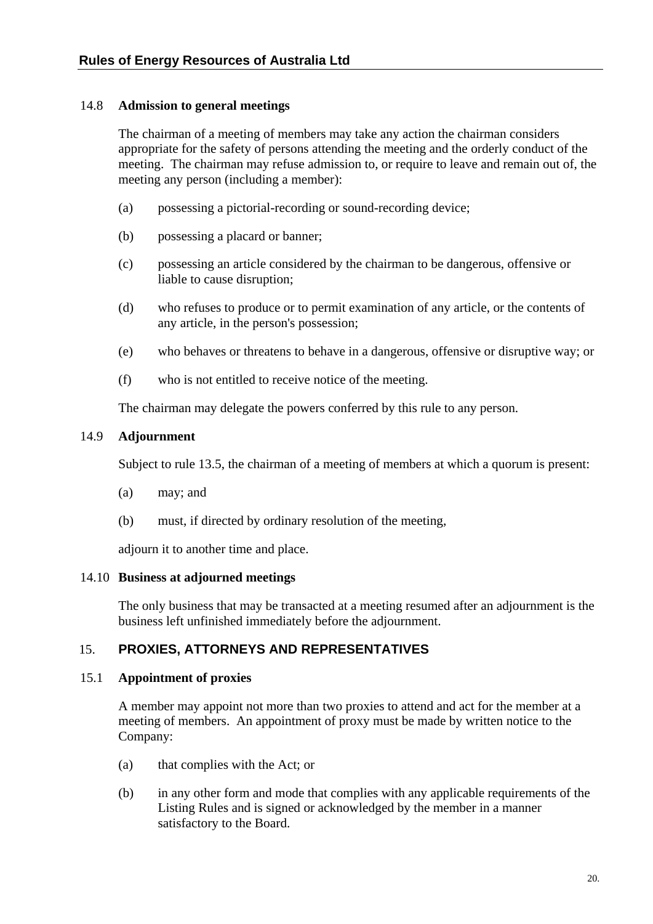## <span id="page-26-0"></span>14.8 **Admission to general meetings**

The chairman of a meeting of members may take any action the chairman considers appropriate for the safety of persons attending the meeting and the orderly conduct of the meeting. The chairman may refuse admission to, or require to leave and remain out of, the meeting any person (including a member):

- (a) possessing a pictorial-recording or sound-recording device;
- (b) possessing a placard or banner;
- (c) possessing an article considered by the chairman to be dangerous, offensive or liable to cause disruption;
- (d) who refuses to produce or to permit examination of any article, or the contents of any article, in the person's possession;
- (e) who behaves or threatens to behave in a dangerous, offensive or disruptive way; or
- (f) who is not entitled to receive notice of the meeting.

The chairman may delegate the powers conferred by this rule to any person.

## 14.9 **Adjournment**

Subject to rule [13.5,](#page-23-3) the chairman of a meeting of members at which a quorum is present:

- (a) may; and
- (b) must, if directed by ordinary resolution of the meeting,

adjourn it to another time and place.

## 14.10 **Business at adjourned meetings**

The only business that may be transacted at a meeting resumed after an adjournment is the business left unfinished immediately before the adjournment.

# <span id="page-26-1"></span>15. **PROXIES, ATTORNEYS AND REPRESENTATIVES**

## 15.1 **Appointment of proxies**

A member may appoint not more than two proxies to attend and act for the member at a meeting of members. An appointment of proxy must be made by written notice to the Company:

- (a) that complies with the Act; or
- (b) in any other form and mode that complies with any applicable requirements of the Listing Rules and is signed or acknowledged by the member in a manner satisfactory to the Board.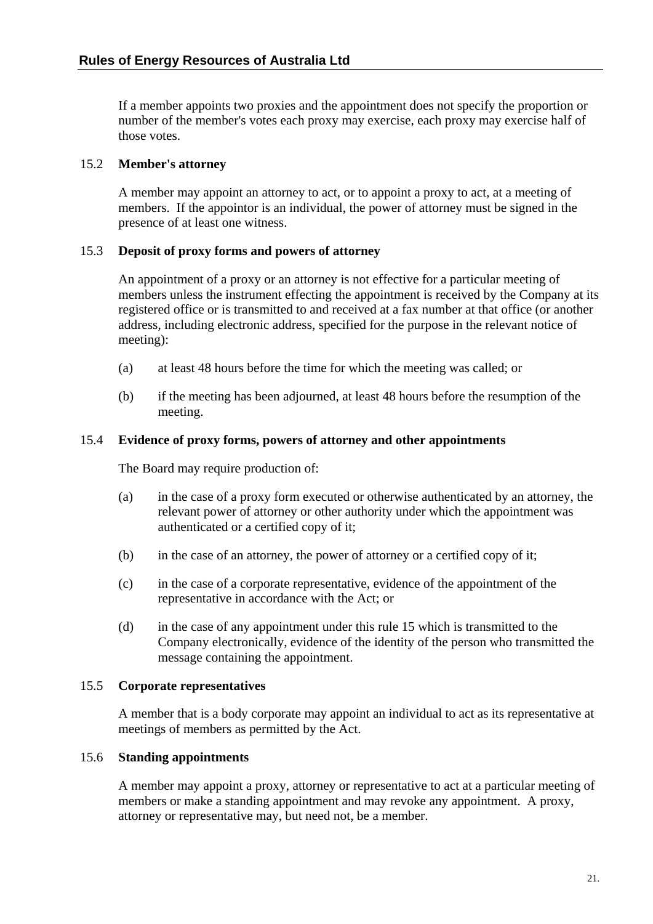<span id="page-27-0"></span>If a member appoints two proxies and the appointment does not specify the proportion or number of the member's votes each proxy may exercise, each proxy may exercise half of those votes.

## 15.2 **Member's attorney**

A member may appoint an attorney to act, or to appoint a proxy to act, at a meeting of members. If the appointor is an individual, the power of attorney must be signed in the presence of at least one witness.

## 15.3 **Deposit of proxy forms and powers of attorney**

An appointment of a proxy or an attorney is not effective for a particular meeting of members unless the instrument effecting the appointment is received by the Company at its registered office or is transmitted to and received at a fax number at that office (or another address, including electronic address, specified for the purpose in the relevant notice of meeting):

- (a) at least 48 hours before the time for which the meeting was called; or
- (b) if the meeting has been adjourned, at least 48 hours before the resumption of the meeting.

## 15.4 **Evidence of proxy forms, powers of attorney and other appointments**

The Board may require production of:

- (a) in the case of a proxy form executed or otherwise authenticated by an attorney, the relevant power of attorney or other authority under which the appointment was authenticated or a certified copy of it;
- (b) in the case of an attorney, the power of attorney or a certified copy of it;
- (c) in the case of a corporate representative, evidence of the appointment of the representative in accordance with the Act; or
- (d) in the case of any appointment under this rule [15](#page-26-1) which is transmitted to the Company electronically, evidence of the identity of the person who transmitted the message containing the appointment.

## 15.5 **Corporate representatives**

A member that is a body corporate may appoint an individual to act as its representative at meetings of members as permitted by the Act.

## 15.6 **Standing appointments**

A member may appoint a proxy, attorney or representative to act at a particular meeting of members or make a standing appointment and may revoke any appointment. A proxy, attorney or representative may, but need not, be a member.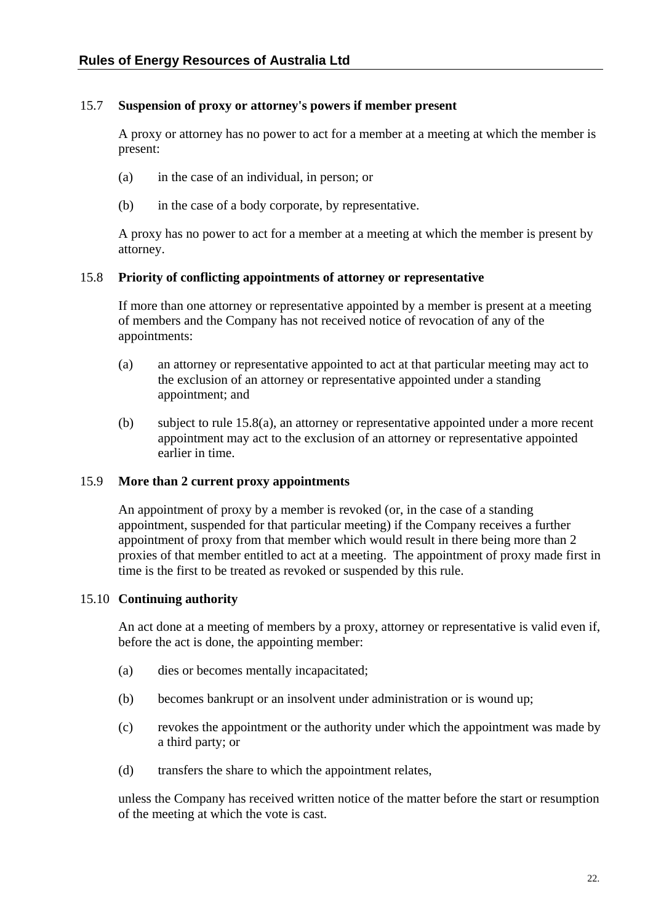## <span id="page-28-0"></span>15.7 **Suspension of proxy or attorney's powers if member present**

A proxy or attorney has no power to act for a member at a meeting at which the member is present:

- (a) in the case of an individual, in person; or
- (b) in the case of a body corporate, by representative.

A proxy has no power to act for a member at a meeting at which the member is present by attorney.

## 15.8 **Priority of conflicting appointments of attorney or representative**

If more than one attorney or representative appointed by a member is present at a meeting of members and the Company has not received notice of revocation of any of the appointments:

- <span id="page-28-1"></span>(a) an attorney or representative appointed to act at that particular meeting may act to the exclusion of an attorney or representative appointed under a standing appointment; and
- (b) subject to rule [15.8\(a\)](#page-28-1), an attorney or representative appointed under a more recent appointment may act to the exclusion of an attorney or representative appointed earlier in time.

## 15.9 **More than 2 current proxy appointments**

An appointment of proxy by a member is revoked (or, in the case of a standing appointment, suspended for that particular meeting) if the Company receives a further appointment of proxy from that member which would result in there being more than 2 proxies of that member entitled to act at a meeting. The appointment of proxy made first in time is the first to be treated as revoked or suspended by this rule.

## 15.10 **Continuing authority**

An act done at a meeting of members by a proxy, attorney or representative is valid even if, before the act is done, the appointing member:

- (a) dies or becomes mentally incapacitated;
- (b) becomes bankrupt or an insolvent under administration or is wound up;
- (c) revokes the appointment or the authority under which the appointment was made by a third party; or
- (d) transfers the share to which the appointment relates,

unless the Company has received written notice of the matter before the start or resumption of the meeting at which the vote is cast.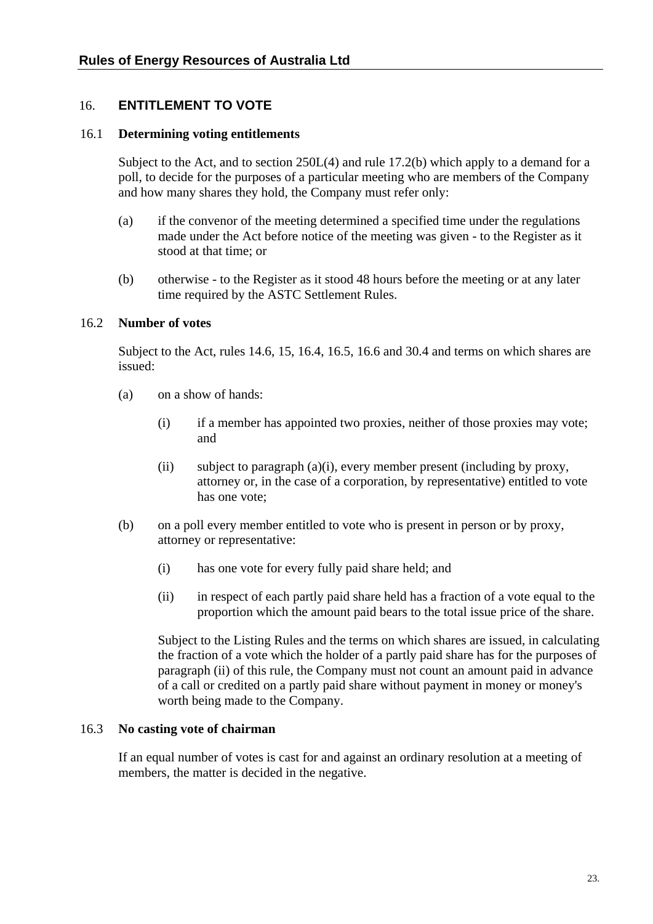# <span id="page-29-0"></span>16. **ENTITLEMENT TO VOTE**

## 16.1 **Determining voting entitlements**

Subject to the Act, and to section 250L(4) and rule [17.2\(b\)](#page-31-1) which apply to a demand for a poll, to decide for the purposes of a particular meeting who are members of the Company and how many shares they hold, the Company must refer only:

- (a) if the convenor of the meeting determined a specified time under the regulations made under the Act before notice of the meeting was given - to the Register as it stood at that time; or
- (b) otherwise to the Register as it stood 48 hours before the meeting or at any later time required by the ASTC Settlement Rules.

#### <span id="page-29-1"></span>16.2 **Number of votes**

Subject to the Act, rules [14.6,](#page-25-2) [15,](#page-26-1) [16.4,](#page-30-2) [16.5,](#page-30-3) [16.6](#page-30-4) and [30.4](#page-46-1) and terms on which shares are issued:

- <span id="page-29-2"></span>(a) on a show of hands:
	- (i) if a member has appointed two proxies, neither of those proxies may vote; and
	- (ii) subject to paragraph [\(a\)](#page-29-1)[\(i\),](#page-29-2) every member present (including by proxy, attorney or, in the case of a corporation, by representative) entitled to vote has one vote;
- <span id="page-29-3"></span>(b) on a poll every member entitled to vote who is present in person or by proxy, attorney or representative:
	- (i) has one vote for every fully paid share held; and
	- (ii) in respect of each partly paid share held has a fraction of a vote equal to the proportion which the amount paid bears to the total issue price of the share.

Subject to the Listing Rules and the terms on which shares are issued, in calculating the fraction of a vote which the holder of a partly paid share has for the purposes of paragraph [\(ii\)](#page-29-3) of this rule, the Company must not count an amount paid in advance of a call or credited on a partly paid share without payment in money or money's worth being made to the Company.

#### 16.3 **No casting vote of chairman**

If an equal number of votes is cast for and against an ordinary resolution at a meeting of members, the matter is decided in the negative.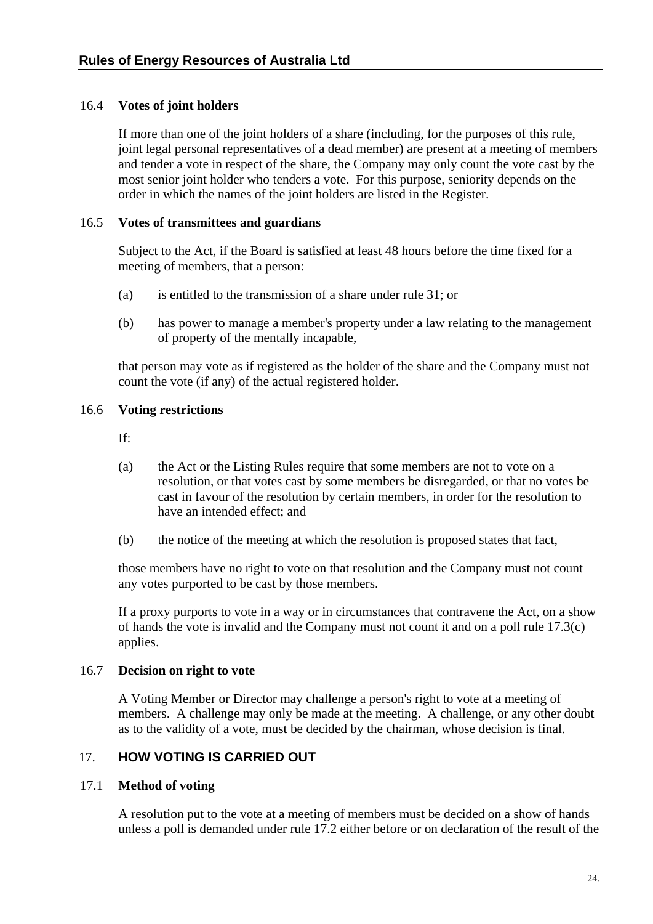## <span id="page-30-2"></span><span id="page-30-0"></span>16.4 **Votes of joint holders**

If more than one of the joint holders of a share (including, for the purposes of this rule, joint legal personal representatives of a dead member) are present at a meeting of members and tender a vote in respect of the share, the Company may only count the vote cast by the most senior joint holder who tenders a vote. For this purpose, seniority depends on the order in which the names of the joint holders are listed in the Register.

## <span id="page-30-3"></span>16.5 **Votes of transmittees and guardians**

Subject to the Act, if the Board is satisfied at least 48 hours before the time fixed for a meeting of members, that a person:

- (a) is entitled to the transmission of a share under rule [31](#page-47-1); or
- (b) has power to manage a member's property under a law relating to the management of property of the mentally incapable,

that person may vote as if registered as the holder of the share and the Company must not count the vote (if any) of the actual registered holder.

## <span id="page-30-4"></span>16.6 **Voting restrictions**

If:

- (a) the Act or the Listing Rules require that some members are not to vote on a resolution, or that votes cast by some members be disregarded, or that no votes be cast in favour of the resolution by certain members, in order for the resolution to have an intended effect; and
- (b) the notice of the meeting at which the resolution is proposed states that fact,

those members have no right to vote on that resolution and the Company must not count any votes purported to be cast by those members.

If a proxy purports to vote in a way or in circumstances that contravene the Act, on a show of hands the vote is invalid and the Company must not count it and on a poll rule [17.3\(c\)](#page-31-2) applies.

## 16.7 **Decision on right to vote**

A Voting Member or Director may challenge a person's right to vote at a meeting of members. A challenge may only be made at the meeting. A challenge, or any other doubt as to the validity of a vote, must be decided by the chairman, whose decision is final.

# <span id="page-30-1"></span>17. **HOW VOTING IS CARRIED OUT**

## 17.1 **Method of voting**

A resolution put to the vote at a meeting of members must be decided on a show of hands unless a poll is demanded under rule [17.2](#page-31-3) either before or on declaration of the result of the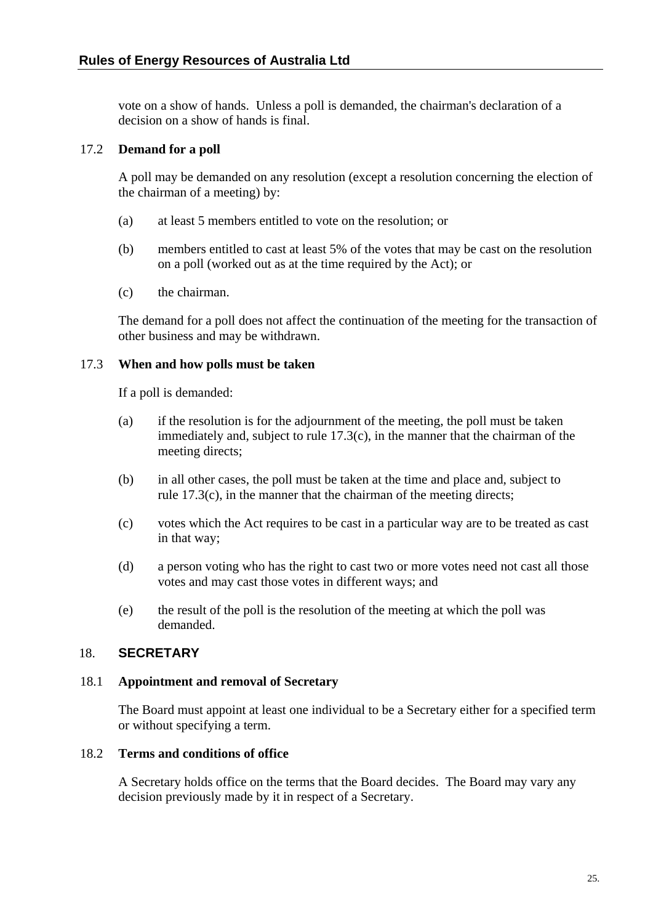<span id="page-31-0"></span>vote on a show of hands. Unless a poll is demanded, the chairman's declaration of a decision on a show of hands is final.

# <span id="page-31-3"></span>17.2 **Demand for a poll**

A poll may be demanded on any resolution (except a resolution concerning the election of the chairman of a meeting) by:

- (a) at least 5 members entitled to vote on the resolution; or
- <span id="page-31-1"></span>(b) members entitled to cast at least 5% of the votes that may be cast on the resolution on a poll (worked out as at the time required by the Act); or
- (c) the chairman.

The demand for a poll does not affect the continuation of the meeting for the transaction of other business and may be withdrawn.

## 17.3 **When and how polls must be taken**

If a poll is demanded:

- (a) if the resolution is for the adjournment of the meeting, the poll must be taken immediately and, subject to rule [17.3\(c\),](#page-31-2) in the manner that the chairman of the meeting directs;
- (b) in all other cases, the poll must be taken at the time and place and, subject to rule [17.3\(c\),](#page-31-2) in the manner that the chairman of the meeting directs;
- <span id="page-31-2"></span>(c) votes which the Act requires to be cast in a particular way are to be treated as cast in that way;
- (d) a person voting who has the right to cast two or more votes need not cast all those votes and may cast those votes in different ways; and
- (e) the result of the poll is the resolution of the meeting at which the poll was demanded.

# 18. **SECRETARY**

## 18.1 **Appointment and removal of Secretary**

The Board must appoint at least one individual to be a Secretary either for a specified term or without specifying a term.

## 18.2 **Terms and conditions of office**

A Secretary holds office on the terms that the Board decides. The Board may vary any decision previously made by it in respect of a Secretary.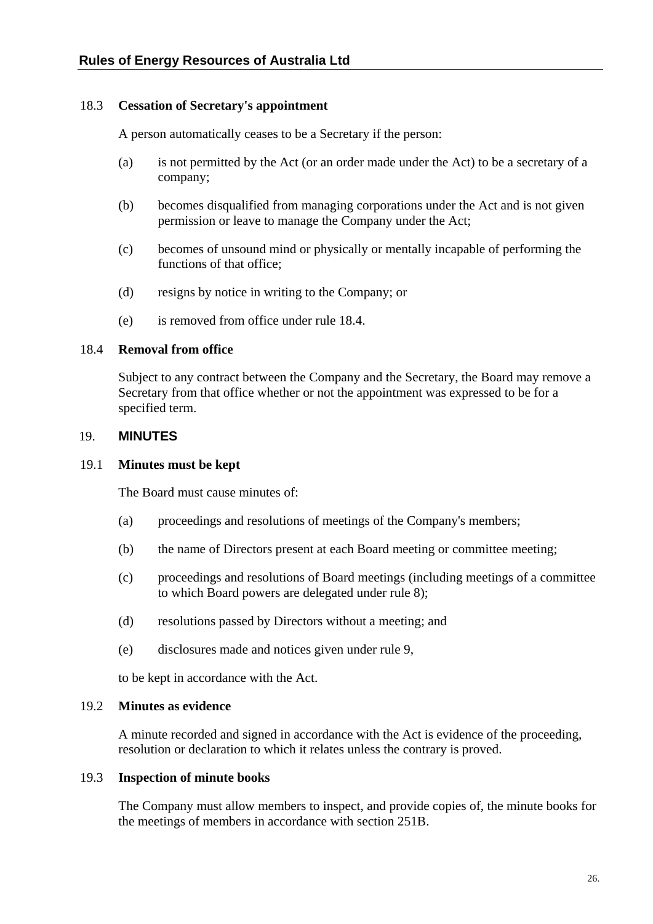## <span id="page-32-0"></span>18.3 **Cessation of Secretary's appointment**

A person automatically ceases to be a Secretary if the person:

- (a) is not permitted by the Act (or an order made under the Act) to be a secretary of a company;
- (b) becomes disqualified from managing corporations under the Act and is not given permission or leave to manage the Company under the Act;
- (c) becomes of unsound mind or physically or mentally incapable of performing the functions of that office;
- (d) resigns by notice in writing to the Company; or
- (e) is removed from office under rule [18.4](#page-32-1).

#### <span id="page-32-1"></span>18.4 **Removal from office**

Subject to any contract between the Company and the Secretary, the Board may remove a Secretary from that office whether or not the appointment was expressed to be for a specified term.

#### 19. **MINUTES**

## 19.1 **Minutes must be kept**

The Board must cause minutes of:

- (a) proceedings and resolutions of meetings of the Company's members;
- (b) the name of Directors present at each Board meeting or committee meeting;
- (c) proceedings and resolutions of Board meetings (including meetings of a committee to which Board powers are delegated under rule [8](#page-15-1));
- (d) resolutions passed by Directors without a meeting; and
- (e) disclosures made and notices given under rule [9](#page-17-2),

to be kept in accordance with the Act.

#### 19.2 **Minutes as evidence**

A minute recorded and signed in accordance with the Act is evidence of the proceeding, resolution or declaration to which it relates unless the contrary is proved.

#### <span id="page-32-2"></span>19.3 **Inspection of minute books**

The Company must allow members to inspect, and provide copies of, the minute books for the meetings of members in accordance with section 251B.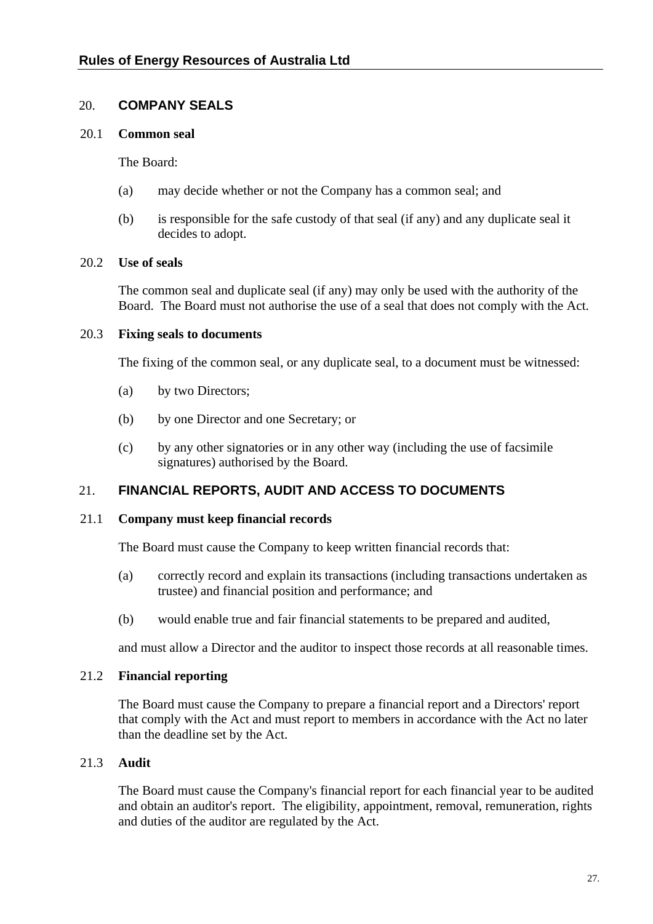# <span id="page-33-0"></span>20. **COMPANY SEALS**

#### 20.1 **Common seal**

The Board:

- (a) may decide whether or not the Company has a common seal; and
- (b) is responsible for the safe custody of that seal (if any) and any duplicate seal it decides to adopt.

#### 20.2 **Use of seals**

The common seal and duplicate seal (if any) may only be used with the authority of the Board. The Board must not authorise the use of a seal that does not comply with the Act.

## 20.3 **Fixing seals to documents**

The fixing of the common seal, or any duplicate seal, to a document must be witnessed:

- (a) by two Directors;
- (b) by one Director and one Secretary; or
- (c) by any other signatories or in any other way (including the use of facsimile signatures) authorised by the Board.

# 21. **FINANCIAL REPORTS, AUDIT AND ACCESS TO DOCUMENTS**

#### 21.1 **Company must keep financial records**

The Board must cause the Company to keep written financial records that:

- (a) correctly record and explain its transactions (including transactions undertaken as trustee) and financial position and performance; and
- (b) would enable true and fair financial statements to be prepared and audited,

and must allow a Director and the auditor to inspect those records at all reasonable times.

## 21.2 **Financial reporting**

The Board must cause the Company to prepare a financial report and a Directors' report that comply with the Act and must report to members in accordance with the Act no later than the deadline set by the Act.

## 21.3 **Audit**

The Board must cause the Company's financial report for each financial year to be audited and obtain an auditor's report. The eligibility, appointment, removal, remuneration, rights and duties of the auditor are regulated by the Act.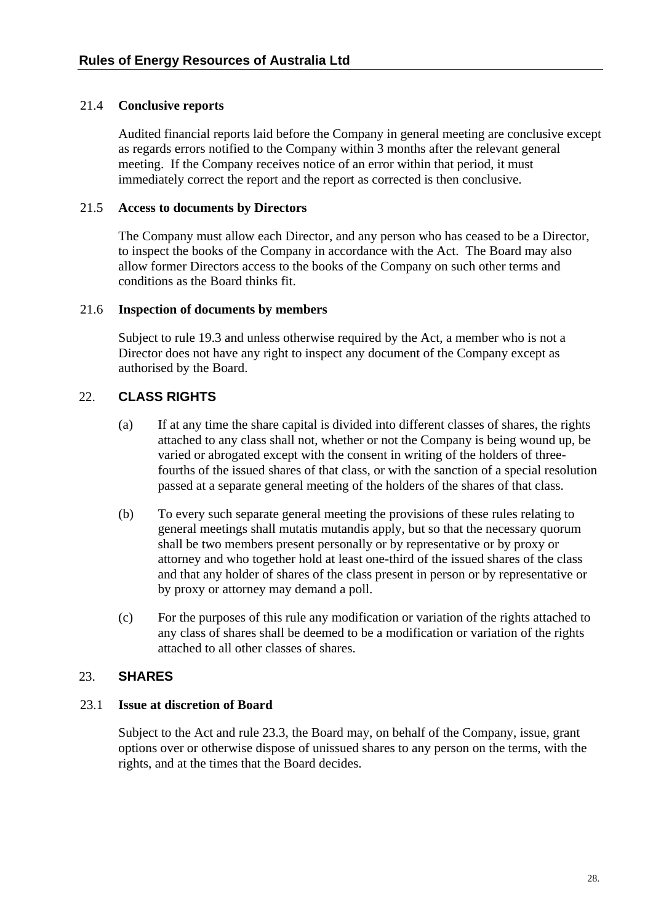## <span id="page-34-0"></span>21.4 **Conclusive reports**

Audited financial reports laid before the Company in general meeting are conclusive except as regards errors notified to the Company within 3 months after the relevant general meeting. If the Company receives notice of an error within that period, it must immediately correct the report and the report as corrected is then conclusive.

## 21.5 **Access to documents by Directors**

The Company must allow each Director, and any person who has ceased to be a Director, to inspect the books of the Company in accordance with the Act. The Board may also allow former Directors access to the books of the Company on such other terms and conditions as the Board thinks fit.

## 21.6 **Inspection of documents by members**

Subject to rule [19.3](#page-32-2) and unless otherwise required by the Act, a member who is not a Director does not have any right to inspect any document of the Company except as authorised by the Board.

# <span id="page-34-1"></span>22. **CLASS RIGHTS**

- (a) If at any time the share capital is divided into different classes of shares, the rights attached to any class shall not, whether or not the Company is being wound up, be varied or abrogated except with the consent in writing of the holders of threefourths of the issued shares of that class, or with the sanction of a special resolution passed at a separate general meeting of the holders of the shares of that class.
- (b) To every such separate general meeting the provisions of these rules relating to general meetings shall mutatis mutandis apply, but so that the necessary quorum shall be two members present personally or by representative or by proxy or attorney and who together hold at least one-third of the issued shares of the class and that any holder of shares of the class present in person or by representative or by proxy or attorney may demand a poll.
- (c) For the purposes of this rule any modification or variation of the rights attached to any class of shares shall be deemed to be a modification or variation of the rights attached to all other classes of shares.

# 23. **SHARES**

# 23.1 **Issue at discretion of Board**

Subject to the Act and rule [23.3](#page-35-1), the Board may, on behalf of the Company, issue, grant options over or otherwise dispose of unissued shares to any person on the terms, with the rights, and at the times that the Board decides.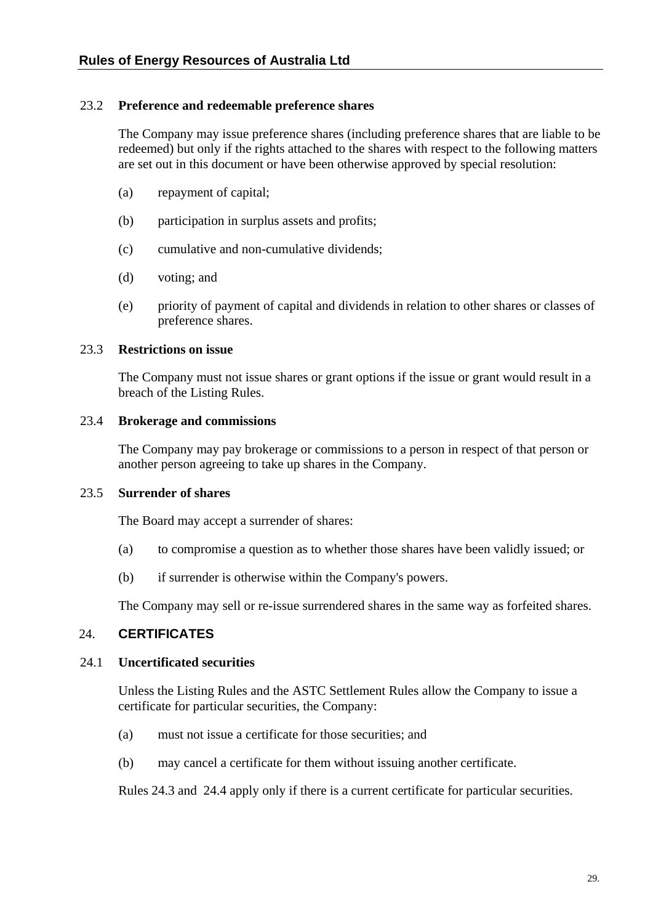## <span id="page-35-0"></span>23.2 **Preference and redeemable preference shares**

The Company may issue preference shares (including preference shares that are liable to be redeemed) but only if the rights attached to the shares with respect to the following matters are set out in this document or have been otherwise approved by special resolution:

- (a) repayment of capital;
- (b) participation in surplus assets and profits;
- (c) cumulative and non-cumulative dividends;
- (d) voting; and
- (e) priority of payment of capital and dividends in relation to other shares or classes of preference shares.

## <span id="page-35-1"></span>23.3 **Restrictions on issue**

The Company must not issue shares or grant options if the issue or grant would result in a breach of the Listing Rules.

#### 23.4 **Brokerage and commissions**

The Company may pay brokerage or commissions to a person in respect of that person or another person agreeing to take up shares in the Company.

# 23.5 **Surrender of shares**

The Board may accept a surrender of shares:

- (a) to compromise a question as to whether those shares have been validly issued; or
- (b) if surrender is otherwise within the Company's powers.

The Company may sell or re-issue surrendered shares in the same way as forfeited shares.

## 24. **CERTIFICATES**

## <span id="page-35-2"></span>24.1 **Uncertificated securities**

Unless the Listing Rules and the ASTC Settlement Rules allow the Company to issue a certificate for particular securities, the Company:

- (a) must not issue a certificate for those securities; and
- (b) may cancel a certificate for them without issuing another certificate.

Rules [24.3](#page-36-1) and [24.4](#page-36-2) apply only if there is a current certificate for particular securities.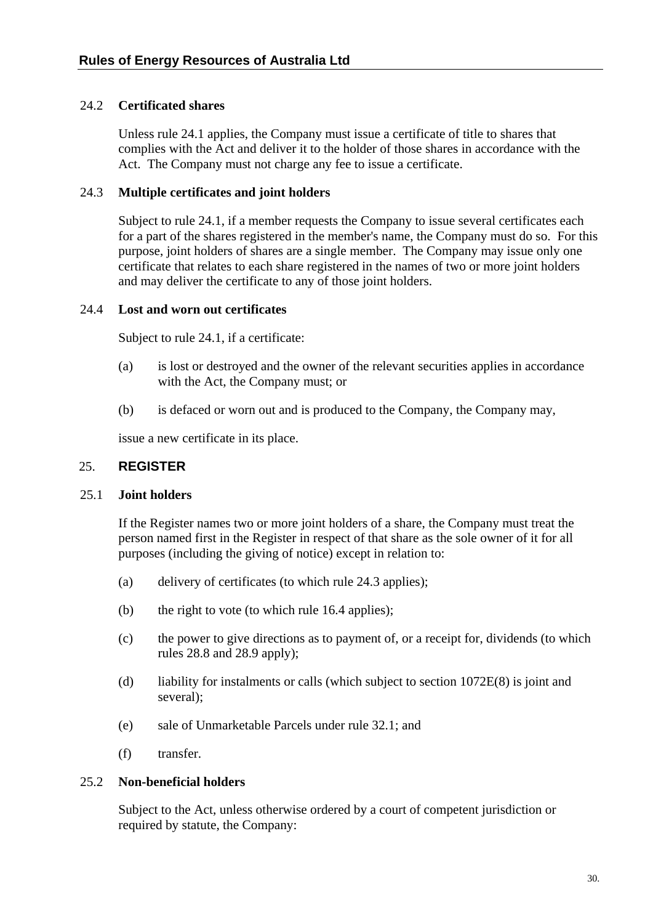## <span id="page-36-0"></span>24.2 **Certificated shares**

Unless rule [24.1](#page-35-2) applies, the Company must issue a certificate of title to shares that complies with the Act and deliver it to the holder of those shares in accordance with the Act. The Company must not charge any fee to issue a certificate.

## <span id="page-36-1"></span>24.3 **Multiple certificates and joint holders**

Subject to rule [24.1,](#page-35-2) if a member requests the Company to issue several certificates each for a part of the shares registered in the member's name, the Company must do so. For this purpose, joint holders of shares are a single member. The Company may issue only one certificate that relates to each share registered in the names of two or more joint holders and may deliver the certificate to any of those joint holders.

#### <span id="page-36-2"></span>24.4 **Lost and worn out certificates**

Subject to rule [24.1,](#page-35-2) if a certificate:

- (a) is lost or destroyed and the owner of the relevant securities applies in accordance with the Act, the Company must; or
- (b) is defaced or worn out and is produced to the Company, the Company may,

issue a new certificate in its place.

#### 25. **REGISTER**

#### 25.1 **Joint holders**

If the Register names two or more joint holders of a share, the Company must treat the person named first in the Register in respect of that share as the sole owner of it for all purposes (including the giving of notice) except in relation to:

- (a) delivery of certificates (to which rule [24.3](#page-36-1) applies);
- (b) the right to vote (to which rule [16.4](#page-30-2) applies);
- (c) the power to give directions as to payment of, or a receipt for, dividends (to which rules [28.8](#page-43-1) and [28.9](#page-43-2) apply);
- (d) liability for instalments or calls (which subject to section 1072E(8) is joint and several);
- (e) sale of Unmarketable Parcels under rule [32.1](#page-48-1); and
- (f) transfer.

## 25.2 **Non-beneficial holders**

Subject to the Act, unless otherwise ordered by a court of competent jurisdiction or required by statute, the Company: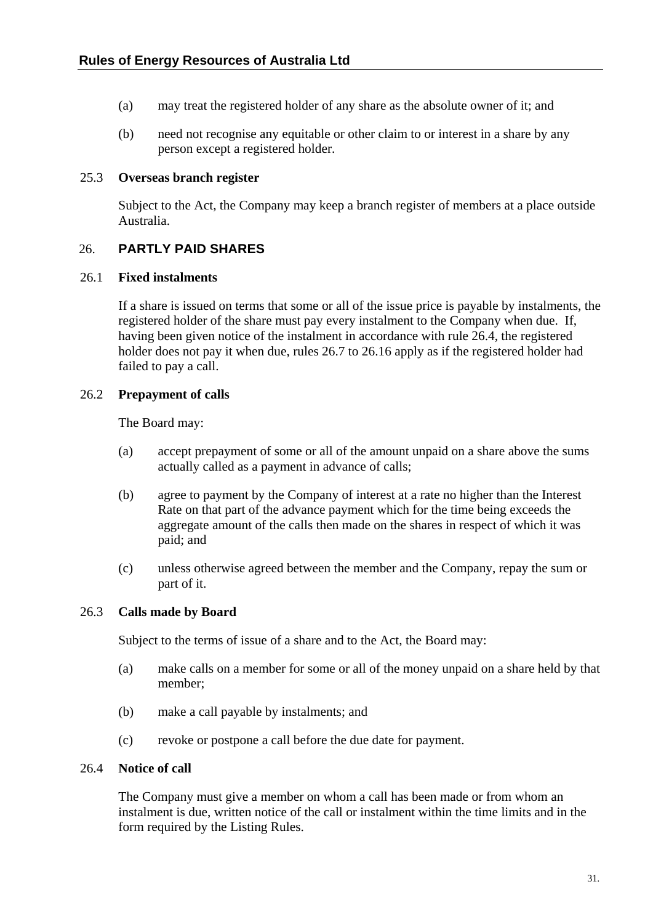- <span id="page-37-0"></span>(a) may treat the registered holder of any share as the absolute owner of it; and
- (b) need not recognise any equitable or other claim to or interest in a share by any person except a registered holder.

#### 25.3 **Overseas branch register**

Subject to the Act, the Company may keep a branch register of members at a place outside Australia.

# 26. **PARTLY PAID SHARES**

#### 26.1 **Fixed instalments**

If a share is issued on terms that some or all of the issue price is payable by instalments, the registered holder of the share must pay every instalment to the Company when due. If, having been given notice of the instalment in accordance with rule [26.4](#page-37-1), the registered holder does not pay it when due, rules [26.7](#page-38-1) to [26.16](#page-40-2) apply as if the registered holder had failed to pay a call.

## 26.2 **Prepayment of calls**

The Board may:

- (a) accept prepayment of some or all of the amount unpaid on a share above the sums actually called as a payment in advance of calls;
- (b) agree to payment by the Company of interest at a rate no higher than the Interest Rate on that part of the advance payment which for the time being exceeds the aggregate amount of the calls then made on the shares in respect of which it was paid; and
- (c) unless otherwise agreed between the member and the Company, repay the sum or part of it.

## 26.3 **Calls made by Board**

Subject to the terms of issue of a share and to the Act, the Board may:

- (a) make calls on a member for some or all of the money unpaid on a share held by that member;
- (b) make a call payable by instalments; and
- (c) revoke or postpone a call before the due date for payment.

#### <span id="page-37-1"></span>26.4 **Notice of call**

The Company must give a member on whom a call has been made or from whom an instalment is due, written notice of the call or instalment within the time limits and in the form required by the Listing Rules.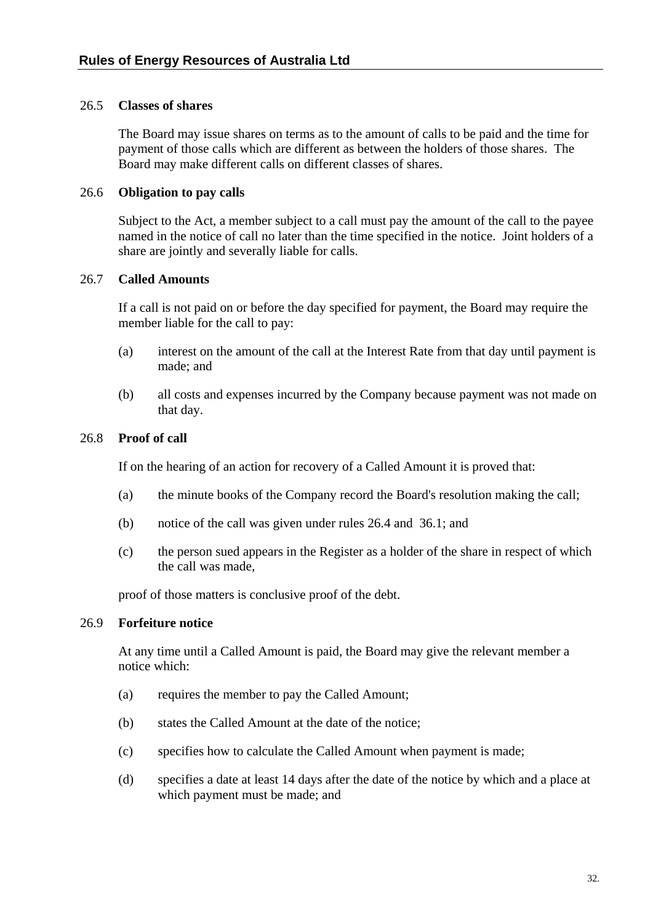## <span id="page-38-0"></span>26.5 **Classes of shares**

The Board may issue shares on terms as to the amount of calls to be paid and the time for payment of those calls which are different as between the holders of those shares. The Board may make different calls on different classes of shares.

#### 26.6 **Obligation to pay calls**

Subject to the Act, a member subject to a call must pay the amount of the call to the payee named in the notice of call no later than the time specified in the notice. Joint holders of a share are jointly and severally liable for calls.

## <span id="page-38-1"></span>26.7 **Called Amounts**

If a call is not paid on or before the day specified for payment, the Board may require the member liable for the call to pay:

- (a) interest on the amount of the call at the Interest Rate from that day until payment is made; and
- (b) all costs and expenses incurred by the Company because payment was not made on that day.

#### 26.8 **Proof of call**

If on the hearing of an action for recovery of a Called Amount it is proved that:

- (a) the minute books of the Company record the Board's resolution making the call;
- (b) notice of the call was given under rules [26.4](#page-37-1) and [36.1;](#page-53-1) and
- (c) the person sued appears in the Register as a holder of the share in respect of which the call was made,

proof of those matters is conclusive proof of the debt.

## <span id="page-38-2"></span>26.9 **Forfeiture notice**

At any time until a Called Amount is paid, the Board may give the relevant member a notice which:

- (a) requires the member to pay the Called Amount;
- (b) states the Called Amount at the date of the notice;
- (c) specifies how to calculate the Called Amount when payment is made;
- (d) specifies a date at least 14 days after the date of the notice by which and a place at which payment must be made; and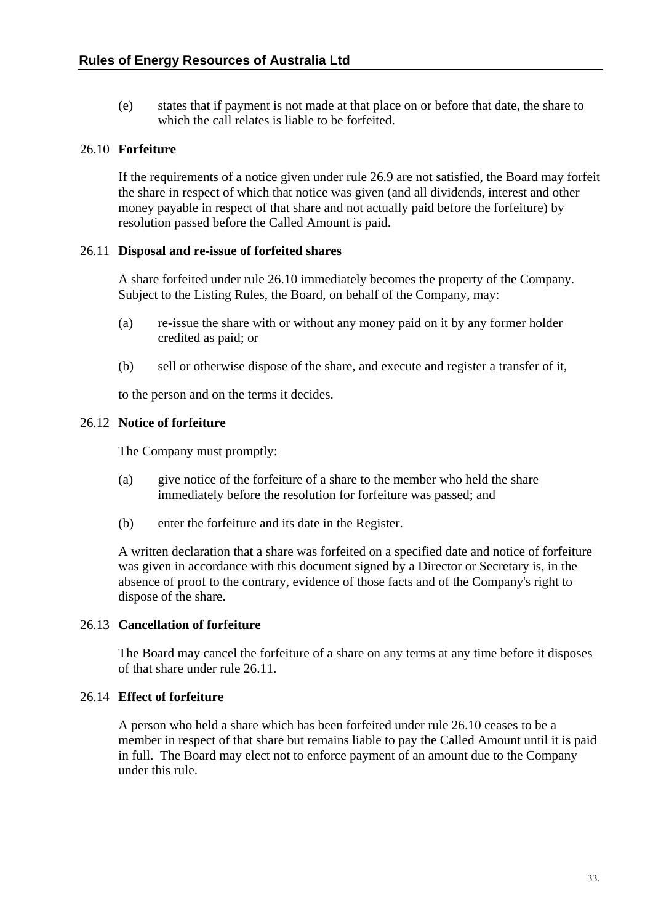<span id="page-39-0"></span>(e) states that if payment is not made at that place on or before that date, the share to which the call relates is liable to be forfeited.

## <span id="page-39-1"></span>26.10 **Forfeiture**

If the requirements of a notice given under rule [26.9](#page-38-2) are not satisfied, the Board may forfeit the share in respect of which that notice was given (and all dividends, interest and other money payable in respect of that share and not actually paid before the forfeiture) by resolution passed before the Called Amount is paid.

## <span id="page-39-2"></span>26.11 **Disposal and re-issue of forfeited shares**

A share forfeited under rule [26.10](#page-39-1) immediately becomes the property of the Company. Subject to the Listing Rules, the Board, on behalf of the Company, may:

- (a) re-issue the share with or without any money paid on it by any former holder credited as paid; or
- (b) sell or otherwise dispose of the share, and execute and register a transfer of it,

to the person and on the terms it decides.

#### 26.12 **Notice of forfeiture**

The Company must promptly:

- (a) give notice of the forfeiture of a share to the member who held the share immediately before the resolution for forfeiture was passed; and
- (b) enter the forfeiture and its date in the Register.

A written declaration that a share was forfeited on a specified date and notice of forfeiture was given in accordance with this document signed by a Director or Secretary is, in the absence of proof to the contrary, evidence of those facts and of the Company's right to dispose of the share.

## 26.13 **Cancellation of forfeiture**

The Board may cancel the forfeiture of a share on any terms at any time before it disposes of that share under rule [26.11](#page-39-2).

## 26.14 **Effect of forfeiture**

A person who held a share which has been forfeited under rule [26.10](#page-39-1) ceases to be a member in respect of that share but remains liable to pay the Called Amount until it is paid in full. The Board may elect not to enforce payment of an amount due to the Company under this rule.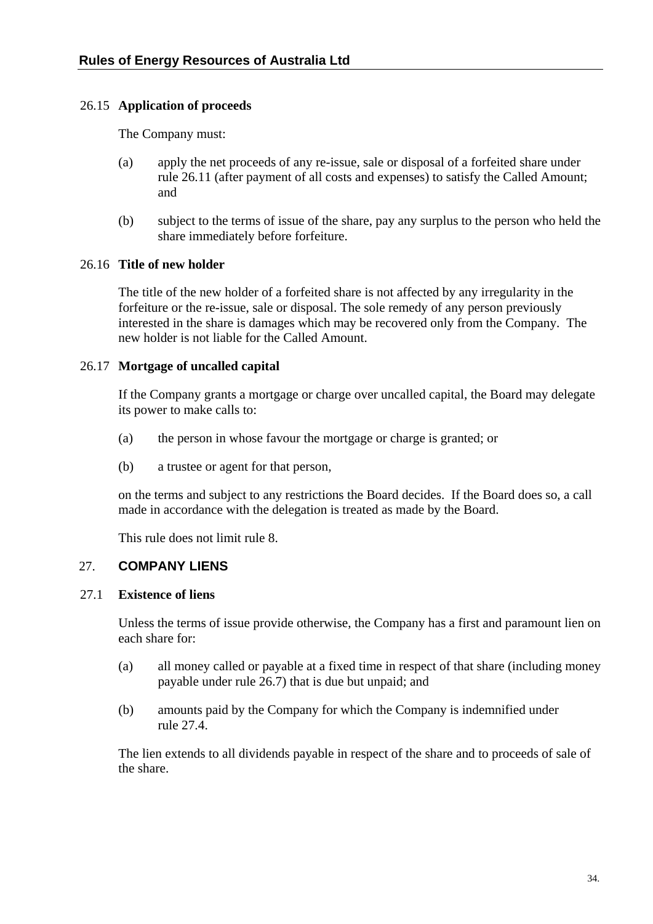## <span id="page-40-3"></span><span id="page-40-0"></span>26.15 **Application of proceeds**

The Company must:

- (a) apply the net proceeds of any re-issue, sale or disposal of a forfeited share under rule [26.11](#page-39-2) (after payment of all costs and expenses) to satisfy the Called Amount; and
- (b) subject to the terms of issue of the share, pay any surplus to the person who held the share immediately before forfeiture.

## <span id="page-40-2"></span>26.16 **Title of new holder**

The title of the new holder of a forfeited share is not affected by any irregularity in the forfeiture or the re-issue, sale or disposal. The sole remedy of any person previously interested in the share is damages which may be recovered only from the Company. The new holder is not liable for the Called Amount.

## <span id="page-40-1"></span>26.17 **Mortgage of uncalled capital**

If the Company grants a mortgage or charge over uncalled capital, the Board may delegate its power to make calls to:

- (a) the person in whose favour the mortgage or charge is granted; or
- (b) a trustee or agent for that person,

on the terms and subject to any restrictions the Board decides. If the Board does so, a call made in accordance with the delegation is treated as made by the Board.

This rule does not limit rule 8.

# 27. **COMPANY LIENS**

## 27.1 **Existence of liens**

Unless the terms of issue provide otherwise, the Company has a first and paramount lien on each share for:

- (a) all money called or payable at a fixed time in respect of that share (including money payable under rule [26.7](#page-38-1)) that is due but unpaid; and
- (b) amounts paid by the Company for which the Company is indemnified under rule [27.4.](#page-41-1)

The lien extends to all dividends payable in respect of the share and to proceeds of sale of the share.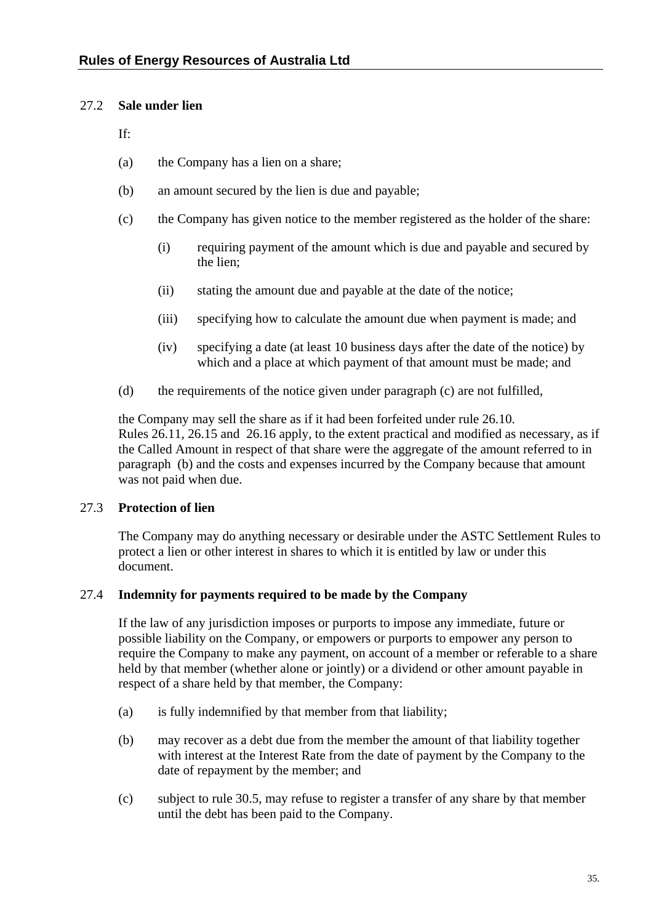## <span id="page-41-3"></span><span id="page-41-0"></span>27.2 **Sale under lien**

If:

- (a) the Company has a lien on a share;
- (b) an amount secured by the lien is due and payable;
- <span id="page-41-2"></span>(c) the Company has given notice to the member registered as the holder of the share:
	- (i) requiring payment of the amount which is due and payable and secured by the lien;
	- (ii) stating the amount due and payable at the date of the notice;
	- (iii) specifying how to calculate the amount due when payment is made; and
	- (iv) specifying a date (at least 10 business days after the date of the notice) by which and a place at which payment of that amount must be made; and
- (d) the requirements of the notice given under paragraph [\(c\)](#page-41-2) are not fulfilled,

the Company may sell the share as if it had been forfeited under rule [26.10.](#page-39-1) Rules [26.11](#page-39-2), [26.15](#page-40-3) and [26.16](#page-40-2) apply, to the extent practical and modified as necessary, as if the Called Amount in respect of that share were the aggregate of the amount referred to in paragraph [\(b\)](#page-41-3) and the costs and expenses incurred by the Company because that amount was not paid when due.

# 27.3 **Protection of lien**

The Company may do anything necessary or desirable under the ASTC Settlement Rules to protect a lien or other interest in shares to which it is entitled by law or under this document.

# <span id="page-41-1"></span>27.4 **Indemnity for payments required to be made by the Company**

If the law of any jurisdiction imposes or purports to impose any immediate, future or possible liability on the Company, or empowers or purports to empower any person to require the Company to make any payment, on account of a member or referable to a share held by that member (whether alone or jointly) or a dividend or other amount payable in respect of a share held by that member, the Company:

- (a) is fully indemnified by that member from that liability;
- (b) may recover as a debt due from the member the amount of that liability together with interest at the Interest Rate from the date of payment by the Company to the date of repayment by the member; and
- (c) subject to rule [30.5,](#page-46-2) may refuse to register a transfer of any share by that member until the debt has been paid to the Company.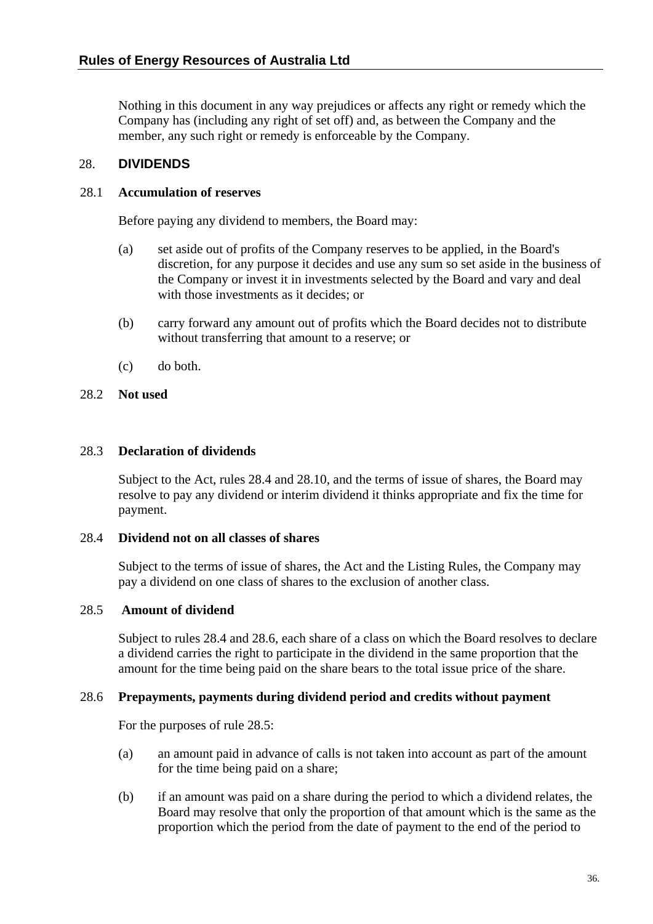<span id="page-42-0"></span>Nothing in this document in any way prejudices or affects any right or remedy which the Company has (including any right of set off) and, as between the Company and the member, any such right or remedy is enforceable by the Company.

## 28. **DIVIDENDS**

#### 28.1 **Accumulation of reserves**

Before paying any dividend to members, the Board may:

- (a) set aside out of profits of the Company reserves to be applied, in the Board's discretion, for any purpose it decides and use any sum so set aside in the business of the Company or invest it in investments selected by the Board and vary and deal with those investments as it decides; or
- (b) carry forward any amount out of profits which the Board decides not to distribute without transferring that amount to a reserve; or
- (c) do both.

## 28.2 **Not used**

#### <span id="page-42-4"></span>28.3 **Declaration of dividends**

Subject to the Act, rules [28.4](#page-42-1) and [28.10,](#page-43-3) and the terms of issue of shares, the Board may resolve to pay any dividend or interim dividend it thinks appropriate and fix the time for payment.

## <span id="page-42-1"></span>28.4 **Dividend not on all classes of shares**

Subject to the terms of issue of shares, the Act and the Listing Rules, the Company may pay a dividend on one class of shares to the exclusion of another class.

## <span id="page-42-3"></span>28.5 **Amount of dividend**

Subject to rules [28.4](#page-42-1) and [28.6,](#page-42-2) each share of a class on which the Board resolves to declare a dividend carries the right to participate in the dividend in the same proportion that the amount for the time being paid on the share bears to the total issue price of the share.

## <span id="page-42-2"></span>28.6 **Prepayments, payments during dividend period and credits without payment**

For the purposes of rule [28.5:](#page-42-3)

- (a) an amount paid in advance of calls is not taken into account as part of the amount for the time being paid on a share;
- (b) if an amount was paid on a share during the period to which a dividend relates, the Board may resolve that only the proportion of that amount which is the same as the proportion which the period from the date of payment to the end of the period to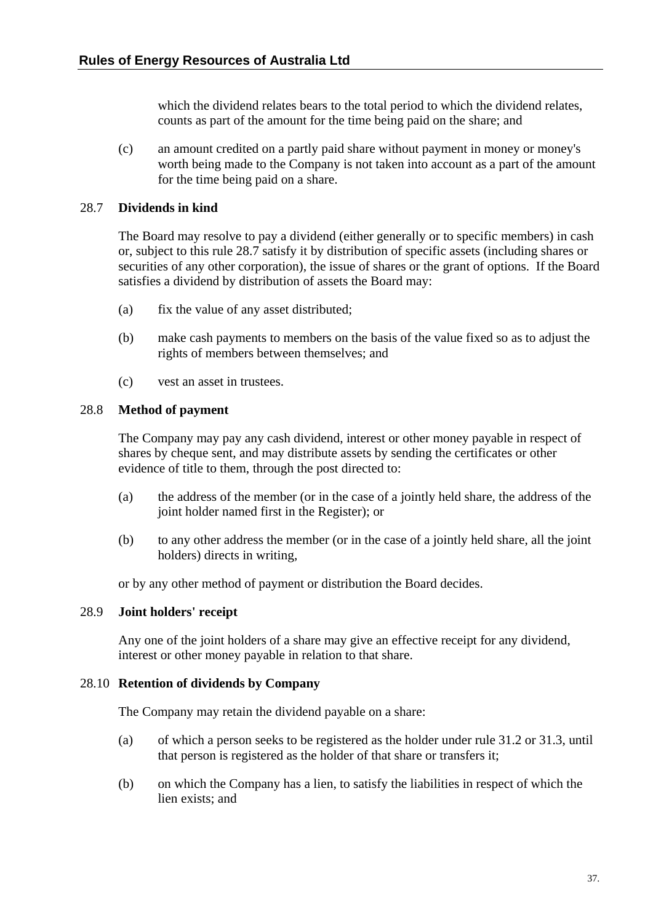<span id="page-43-0"></span>which the dividend relates bears to the total period to which the dividend relates, counts as part of the amount for the time being paid on the share; and

(c) an amount credited on a partly paid share without payment in money or money's worth being made to the Company is not taken into account as a part of the amount for the time being paid on a share.

## <span id="page-43-4"></span>28.7 **Dividends in kind**

The Board may resolve to pay a dividend (either generally or to specific members) in cash or, subject to this rule [28.7](#page-43-4) satisfy it by distribution of specific assets (including shares or securities of any other corporation), the issue of shares or the grant of options. If the Board satisfies a dividend by distribution of assets the Board may:

- (a) fix the value of any asset distributed;
- (b) make cash payments to members on the basis of the value fixed so as to adjust the rights of members between themselves; and
- (c) vest an asset in trustees.

## <span id="page-43-1"></span>28.8 **Method of payment**

The Company may pay any cash dividend, interest or other money payable in respect of shares by cheque sent, and may distribute assets by sending the certificates or other evidence of title to them, through the post directed to:

- (a) the address of the member (or in the case of a jointly held share, the address of the joint holder named first in the Register); or
- (b) to any other address the member (or in the case of a jointly held share, all the joint holders) directs in writing,

or by any other method of payment or distribution the Board decides.

## <span id="page-43-2"></span>28.9 **Joint holders' receipt**

Any one of the joint holders of a share may give an effective receipt for any dividend, interest or other money payable in relation to that share.

## <span id="page-43-3"></span>28.10 **Retention of dividends by Company**

The Company may retain the dividend payable on a share:

- (a) of which a person seeks to be registered as the holder under rule [31.2](#page-47-2) or [31.3,](#page-48-2) until that person is registered as the holder of that share or transfers it;
- (b) on which the Company has a lien, to satisfy the liabilities in respect of which the lien exists; and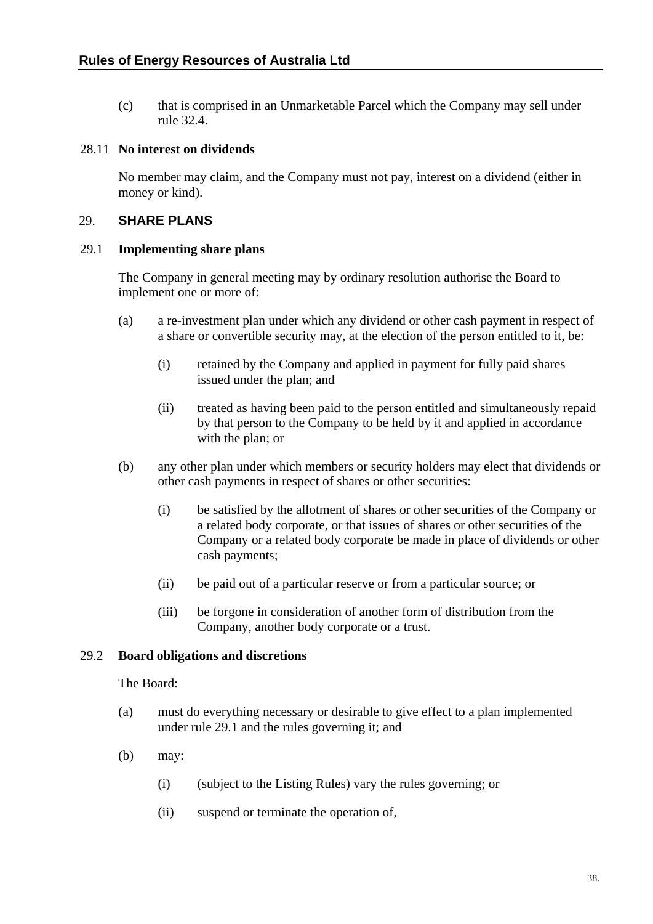<span id="page-44-0"></span>(c) that is comprised in an Unmarketable Parcel which the Company may sell under rule [32.4.](#page-49-1)

## <span id="page-44-2"></span>28.11 **No interest on dividends**

No member may claim, and the Company must not pay, interest on a dividend (either in money or kind).

## <span id="page-44-3"></span>29. **SHARE PLANS**

#### <span id="page-44-1"></span>29.1 **Implementing share plans**

The Company in general meeting may by ordinary resolution authorise the Board to implement one or more of:

- (a) a re-investment plan under which any dividend or other cash payment in respect of a share or convertible security may, at the election of the person entitled to it, be:
	- (i) retained by the Company and applied in payment for fully paid shares issued under the plan; and
	- (ii) treated as having been paid to the person entitled and simultaneously repaid by that person to the Company to be held by it and applied in accordance with the plan; or
- (b) any other plan under which members or security holders may elect that dividends or other cash payments in respect of shares or other securities:
	- (i) be satisfied by the allotment of shares or other securities of the Company or a related body corporate, or that issues of shares or other securities of the Company or a related body corporate be made in place of dividends or other cash payments;
	- (ii) be paid out of a particular reserve or from a particular source; or
	- (iii) be forgone in consideration of another form of distribution from the Company, another body corporate or a trust.

## 29.2 **Board obligations and discretions**

## The Board:

- (a) must do everything necessary or desirable to give effect to a plan implemented under rule [29.1](#page-44-1) and the rules governing it; and
- (b) may:
	- (i) (subject to the Listing Rules) vary the rules governing; or
	- (ii) suspend or terminate the operation of,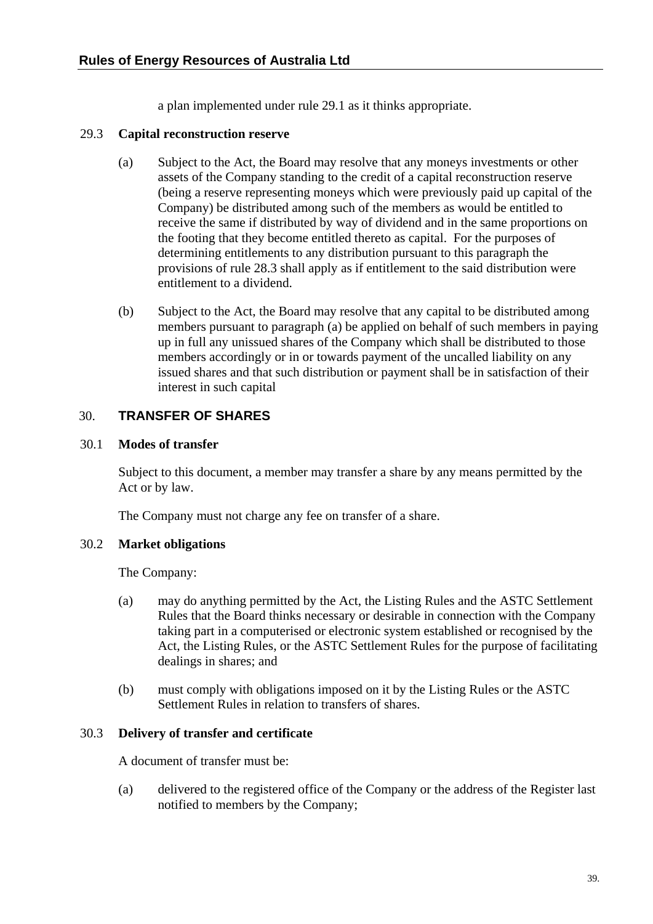a plan implemented under rule [29.1](#page-44-1) as it thinks appropriate.

## <span id="page-45-0"></span>29.3 **Capital reconstruction reserve**

- (a) Subject to the Act, the Board may resolve that any moneys investments or other assets of the Company standing to the credit of a capital reconstruction reserve (being a reserve representing moneys which were previously paid up capital of the Company) be distributed among such of the members as would be entitled to receive the same if distributed by way of dividend and in the same proportions on the footing that they become entitled thereto as capital. For the purposes of determining entitlements to any distribution pursuant to this paragraph the provisions of rule [28.3](#page-42-4) shall apply as if entitlement to the said distribution were entitlement to a dividend.
- (b) Subject to the Act, the Board may resolve that any capital to be distributed among members pursuant to paragraph (a) be applied on behalf of such members in paying up in full any unissued shares of the Company which shall be distributed to those members accordingly or in or towards payment of the uncalled liability on any issued shares and that such distribution or payment shall be in satisfaction of their interest in such capital

# <span id="page-45-1"></span>30. **TRANSFER OF SHARES**

## 30.1 **Modes of transfer**

Subject to this document, a member may transfer a share by any means permitted by the Act or by law.

The Company must not charge any fee on transfer of a share.

# 30.2 **Market obligations**

The Company:

- (a) may do anything permitted by the Act, the Listing Rules and the ASTC Settlement Rules that the Board thinks necessary or desirable in connection with the Company taking part in a computerised or electronic system established or recognised by the Act, the Listing Rules, or the ASTC Settlement Rules for the purpose of facilitating dealings in shares; and
- (b) must comply with obligations imposed on it by the Listing Rules or the ASTC Settlement Rules in relation to transfers of shares.

## 30.3 **Delivery of transfer and certificate**

A document of transfer must be:

(a) delivered to the registered office of the Company or the address of the Register last notified to members by the Company;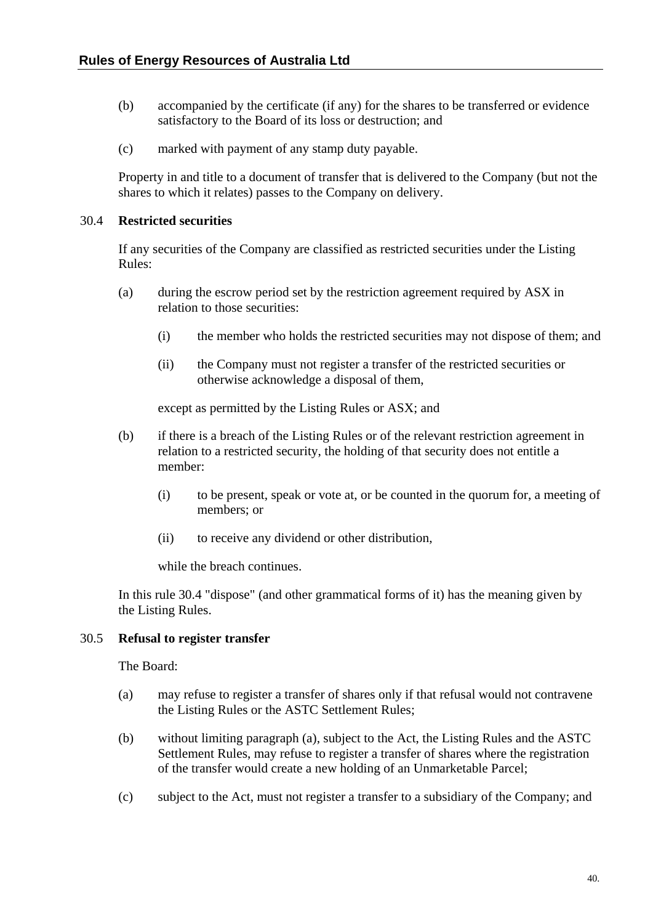- <span id="page-46-0"></span>(b) accompanied by the certificate (if any) for the shares to be transferred or evidence satisfactory to the Board of its loss or destruction; and
- (c) marked with payment of any stamp duty payable.

Property in and title to a document of transfer that is delivered to the Company (but not the shares to which it relates) passes to the Company on delivery.

#### <span id="page-46-1"></span>30.4 **Restricted securities**

If any securities of the Company are classified as restricted securities under the Listing Rules:

- (a) during the escrow period set by the restriction agreement required by ASX in relation to those securities:
	- (i) the member who holds the restricted securities may not dispose of them; and
	- (ii) the Company must not register a transfer of the restricted securities or otherwise acknowledge a disposal of them,

except as permitted by the Listing Rules or ASX; and

- (b) if there is a breach of the Listing Rules or of the relevant restriction agreement in relation to a restricted security, the holding of that security does not entitle a member:
	- (i) to be present, speak or vote at, or be counted in the quorum for, a meeting of members; or
	- (ii) to receive any dividend or other distribution,

while the breach continues.

In this rule [30.4](#page-46-1) "dispose" (and other grammatical forms of it) has the meaning given by the Listing Rules.

#### <span id="page-46-3"></span><span id="page-46-2"></span>30.5 **Refusal to register transfer**

The Board:

- (a) may refuse to register a transfer of shares only if that refusal would not contravene the Listing Rules or the ASTC Settlement Rules;
- (b) without limiting paragraph [\(a\),](#page-46-3) subject to the Act, the Listing Rules and the ASTC Settlement Rules, may refuse to register a transfer of shares where the registration of the transfer would create a new holding of an Unmarketable Parcel;
- (c) subject to the Act, must not register a transfer to a subsidiary of the Company; and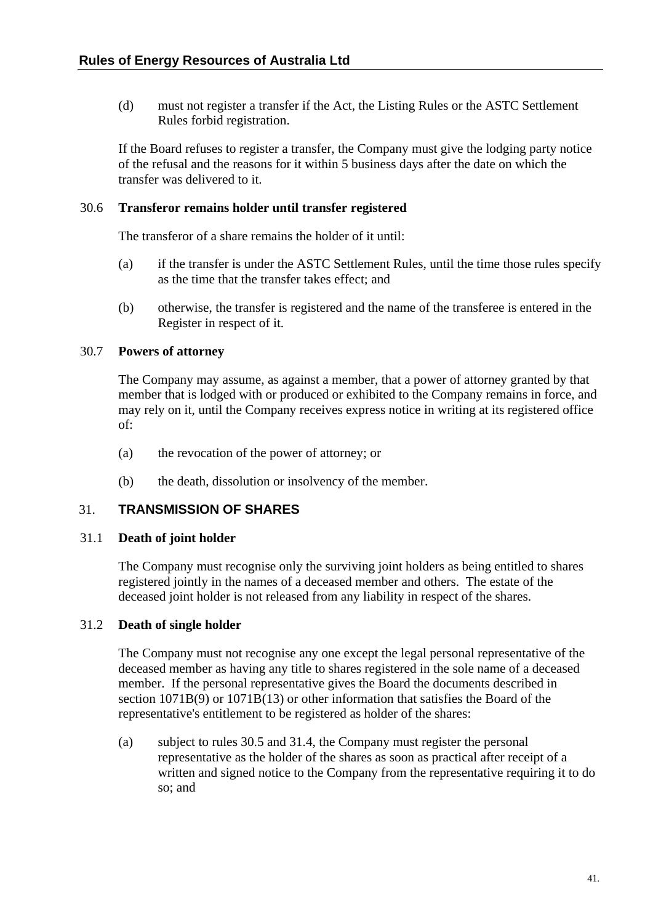<span id="page-47-0"></span>(d) must not register a transfer if the Act, the Listing Rules or the ASTC Settlement Rules forbid registration.

If the Board refuses to register a transfer, the Company must give the lodging party notice of the refusal and the reasons for it within 5 business days after the date on which the transfer was delivered to it.

#### 30.6 **Transferor remains holder until transfer registered**

The transferor of a share remains the holder of it until:

- (a) if the transfer is under the ASTC Settlement Rules, until the time those rules specify as the time that the transfer takes effect; and
- (b) otherwise, the transfer is registered and the name of the transferee is entered in the Register in respect of it.

## 30.7 **Powers of attorney**

The Company may assume, as against a member, that a power of attorney granted by that member that is lodged with or produced or exhibited to the Company remains in force, and may rely on it, until the Company receives express notice in writing at its registered office of:

- (a) the revocation of the power of attorney; or
- (b) the death, dissolution or insolvency of the member.

## <span id="page-47-1"></span>31. **TRANSMISSION OF SHARES**

## 31.1 **Death of joint holder**

The Company must recognise only the surviving joint holders as being entitled to shares registered jointly in the names of a deceased member and others. The estate of the deceased joint holder is not released from any liability in respect of the shares.

## <span id="page-47-2"></span>31.2 **Death of single holder**

The Company must not recognise any one except the legal personal representative of the deceased member as having any title to shares registered in the sole name of a deceased member. If the personal representative gives the Board the documents described in section 1071B(9) or 1071B(13) or other information that satisfies the Board of the representative's entitlement to be registered as holder of the shares:

(a) subject to rules [30.5](#page-46-2) and [31.4,](#page-48-3) the Company must register the personal representative as the holder of the shares as soon as practical after receipt of a written and signed notice to the Company from the representative requiring it to do so; and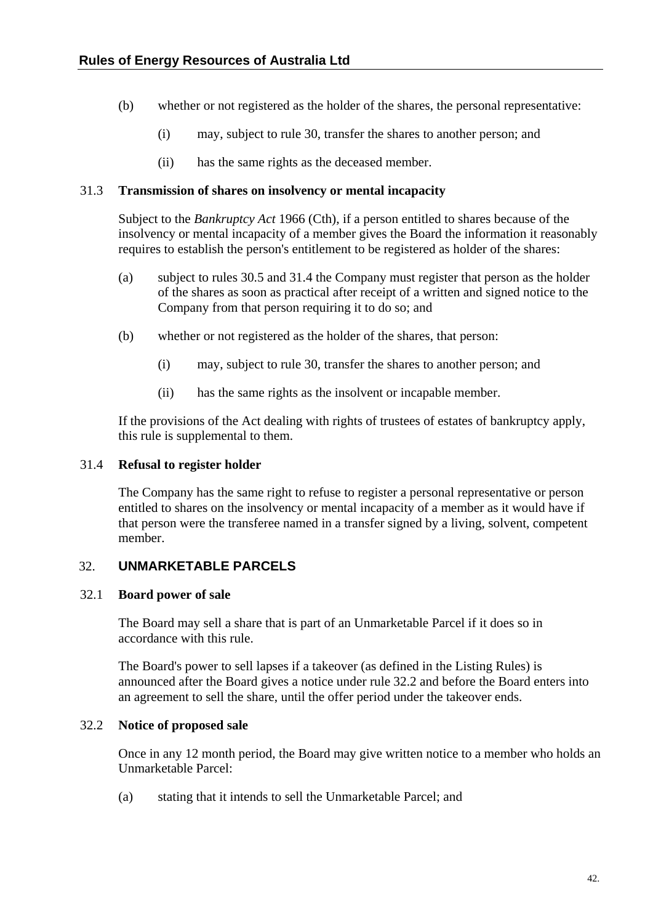- <span id="page-48-0"></span>(b) whether or not registered as the holder of the shares, the personal representative:
	- (i) may, subject to rule [30,](#page-45-1) transfer the shares to another person; and
	- (ii) has the same rights as the deceased member.

## <span id="page-48-2"></span>31.3 **Transmission of shares on insolvency or mental incapacity**

Subject to the *Bankruptcy Act* 1966 (Cth), if a person entitled to shares because of the insolvency or mental incapacity of a member gives the Board the information it reasonably requires to establish the person's entitlement to be registered as holder of the shares:

- (a) subject to rules [30.5](#page-46-2) and [31.4](#page-48-3) the Company must register that person as the holder of the shares as soon as practical after receipt of a written and signed notice to the Company from that person requiring it to do so; and
- (b) whether or not registered as the holder of the shares, that person:
	- (i) may, subject to rule [30,](#page-45-1) transfer the shares to another person; and
	- (ii) has the same rights as the insolvent or incapable member.

If the provisions of the Act dealing with rights of trustees of estates of bankruptcy apply, this rule is supplemental to them.

## <span id="page-48-3"></span>31.4 **Refusal to register holder**

The Company has the same right to refuse to register a personal representative or person entitled to shares on the insolvency or mental incapacity of a member as it would have if that person were the transferee named in a transfer signed by a living, solvent, competent member.

# 32. **UNMARKETABLE PARCELS**

## <span id="page-48-1"></span>32.1 **Board power of sale**

The Board may sell a share that is part of an Unmarketable Parcel if it does so in accordance with this rule.

The Board's power to sell lapses if a takeover (as defined in the Listing Rules) is announced after the Board gives a notice under rule [32.2](#page-48-4) and before the Board enters into an agreement to sell the share, until the offer period under the takeover ends.

# <span id="page-48-4"></span>32.2 **Notice of proposed sale**

Once in any 12 month period, the Board may give written notice to a member who holds an Unmarketable Parcel:

(a) stating that it intends to sell the Unmarketable Parcel; and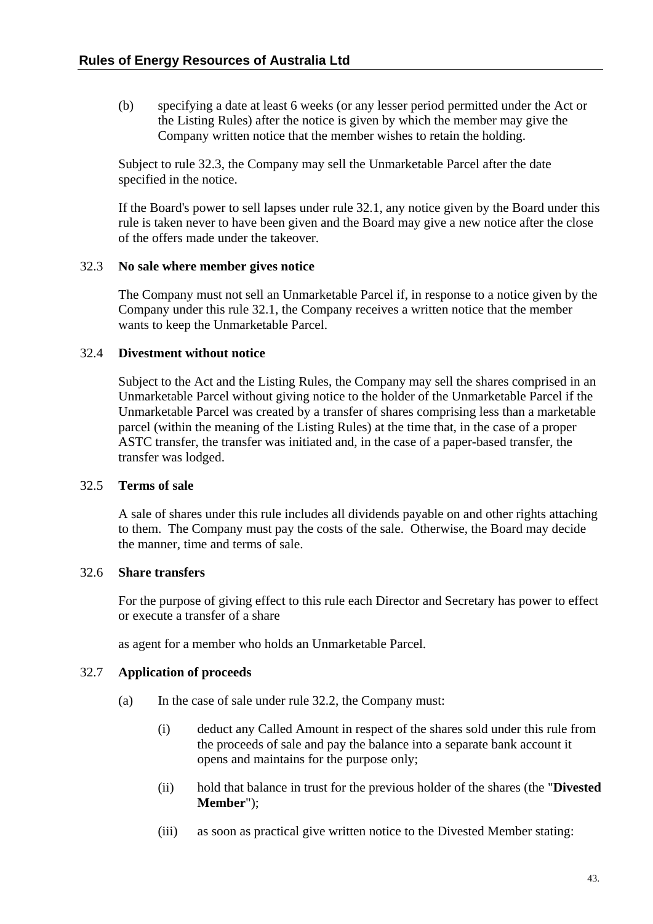<span id="page-49-0"></span>(b) specifying a date at least 6 weeks (or any lesser period permitted under the Act or the Listing Rules) after the notice is given by which the member may give the Company written notice that the member wishes to retain the holding.

Subject to rule [32.3,](#page-49-2) the Company may sell the Unmarketable Parcel after the date specified in the notice.

If the Board's power to sell lapses under rule [32.1](#page-48-1), any notice given by the Board under this rule is taken never to have been given and the Board may give a new notice after the close of the offers made under the takeover.

## <span id="page-49-2"></span>32.3 **No sale where member gives notice**

The Company must not sell an Unmarketable Parcel if, in response to a notice given by the Company under this rule [32.1,](#page-48-1) the Company receives a written notice that the member wants to keep the Unmarketable Parcel.

## <span id="page-49-1"></span>32.4 **Divestment without notice**

Subject to the Act and the Listing Rules, the Company may sell the shares comprised in an Unmarketable Parcel without giving notice to the holder of the Unmarketable Parcel if the Unmarketable Parcel was created by a transfer of shares comprising less than a marketable parcel (within the meaning of the Listing Rules) at the time that, in the case of a proper ASTC transfer, the transfer was initiated and, in the case of a paper-based transfer, the transfer was lodged.

## 32.5 **Terms of sale**

A sale of shares under this rule includes all dividends payable on and other rights attaching to them. The Company must pay the costs of the sale. Otherwise, the Board may decide the manner, time and terms of sale.

## 32.6 **Share transfers**

For the purpose of giving effect to this rule each Director and Secretary has power to effect or execute a transfer of a share

as agent for a member who holds an Unmarketable Parcel.

## 32.7 **Application of proceeds**

- (a) In the case of sale under rule [32.2,](#page-48-4) the Company must:
	- (i) deduct any Called Amount in respect of the shares sold under this rule from the proceeds of sale and pay the balance into a separate bank account it opens and maintains for the purpose only;
	- (ii) hold that balance in trust for the previous holder of the shares (the "**Divested Member**");
	- (iii) as soon as practical give written notice to the Divested Member stating: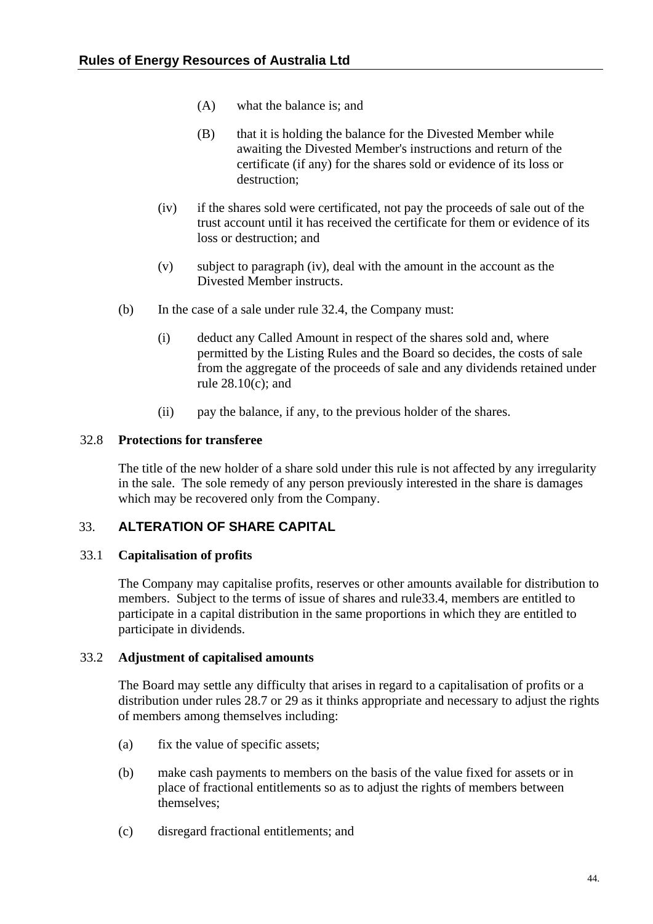- <span id="page-50-0"></span>(A) what the balance is; and
- (B) that it is holding the balance for the Divested Member while awaiting the Divested Member's instructions and return of the certificate (if any) for the shares sold or evidence of its loss or destruction;
- (iv) if the shares sold were certificated, not pay the proceeds of sale out of the trust account until it has received the certificate for them or evidence of its loss or destruction; and
- (v) subject to paragraph [\(iv\),](#page-50-1) deal with the amount in the account as the Divested Member instructs.
- <span id="page-50-1"></span>(b) In the case of a sale under rule [32.4](#page-49-1), the Company must:
	- (i) deduct any Called Amount in respect of the shares sold and, where permitted by the Listing Rules and the Board so decides, the costs of sale from the aggregate of the proceeds of sale and any dividends retained under rule [28.10\(c\);](#page-44-2) and
	- (ii) pay the balance, if any, to the previous holder of the shares.

## 32.8 **Protections for transferee**

The title of the new holder of a share sold under this rule is not affected by any irregularity in the sale. The sole remedy of any person previously interested in the share is damages which may be recovered only from the Company.

# 33. **ALTERATION OF SHARE CAPITAL**

## <span id="page-50-2"></span>33.1 **Capitalisation of profits**

The Company may capitalise profits, reserves or other amounts available for distribution to members. Subject to the terms of issue of shares and rule[33.4,](#page-51-1) members are entitled to participate in a capital distribution in the same proportions in which they are entitled to participate in dividends.

## 33.2 **Adjustment of capitalised amounts**

The Board may settle any difficulty that arises in regard to a capitalisation of profits or a distribution under rules [28.7](#page-43-4) or [29](#page-44-3) as it thinks appropriate and necessary to adjust the rights of members among themselves including:

- (a) fix the value of specific assets;
- (b) make cash payments to members on the basis of the value fixed for assets or in place of fractional entitlements so as to adjust the rights of members between themselves;
- (c) disregard fractional entitlements; and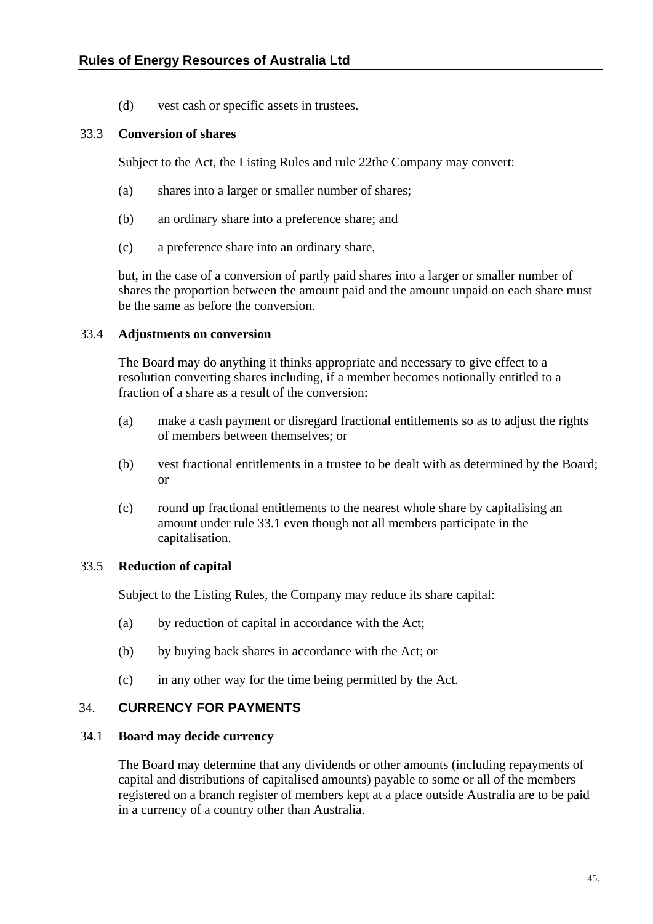(d) vest cash or specific assets in trustees.

## <span id="page-51-0"></span>33.3 **Conversion of shares**

Subject to the Act, the Listing Rules and rule [22](#page-34-1)the Company may convert:

- (a) shares into a larger or smaller number of shares;
- (b) an ordinary share into a preference share; and
- (c) a preference share into an ordinary share,

but, in the case of a conversion of partly paid shares into a larger or smaller number of shares the proportion between the amount paid and the amount unpaid on each share must be the same as before the conversion.

#### <span id="page-51-1"></span>33.4 **Adjustments on conversion**

The Board may do anything it thinks appropriate and necessary to give effect to a resolution converting shares including, if a member becomes notionally entitled to a fraction of a share as a result of the conversion:

- (a) make a cash payment or disregard fractional entitlements so as to adjust the rights of members between themselves; or
- (b) vest fractional entitlements in a trustee to be dealt with as determined by the Board; or
- (c) round up fractional entitlements to the nearest whole share by capitalising an amount under rule [33.1](#page-50-2) even though not all members participate in the capitalisation.

## 33.5 **Reduction of capital**

Subject to the Listing Rules, the Company may reduce its share capital:

- (a) by reduction of capital in accordance with the Act;
- (b) by buying back shares in accordance with the Act; or
- (c) in any other way for the time being permitted by the Act.

## 34. **CURRENCY FOR PAYMENTS**

#### 34.1 **Board may decide currency**

The Board may determine that any dividends or other amounts (including repayments of capital and distributions of capitalised amounts) payable to some or all of the members registered on a branch register of members kept at a place outside Australia are to be paid in a currency of a country other than Australia.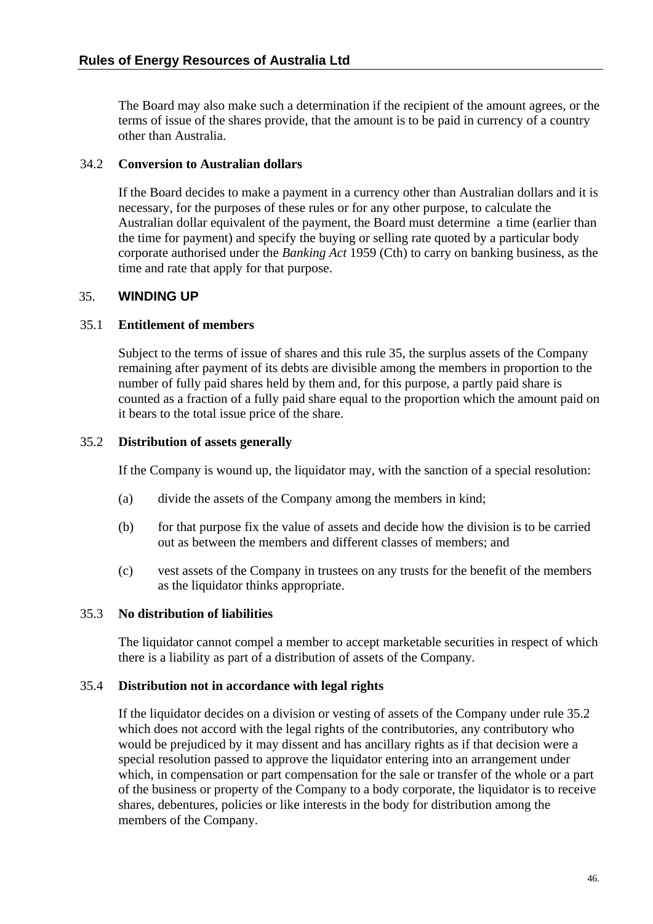<span id="page-52-0"></span>The Board may also make such a determination if the recipient of the amount agrees, or the terms of issue of the shares provide, that the amount is to be paid in currency of a country other than Australia.

## 34.2 **Conversion to Australian dollars**

If the Board decides to make a payment in a currency other than Australian dollars and it is necessary, for the purposes of these rules or for any other purpose, to calculate the Australian dollar equivalent of the payment, the Board must determine a time (earlier than the time for payment) and specify the buying or selling rate quoted by a particular body corporate authorised under the *Banking Act* 1959 (Cth) to carry on banking business, as the time and rate that apply for that purpose.

## <span id="page-52-1"></span>35. **WINDING UP**

## 35.1 **Entitlement of members**

Subject to the terms of issue of shares and this rule [35,](#page-52-1) the surplus assets of the Company remaining after payment of its debts are divisible among the members in proportion to the number of fully paid shares held by them and, for this purpose, a partly paid share is counted as a fraction of a fully paid share equal to the proportion which the amount paid on it bears to the total issue price of the share.

## <span id="page-52-2"></span>35.2 **Distribution of assets generally**

If the Company is wound up, the liquidator may, with the sanction of a special resolution:

- (a) divide the assets of the Company among the members in kind;
- (b) for that purpose fix the value of assets and decide how the division is to be carried out as between the members and different classes of members; and
- (c) vest assets of the Company in trustees on any trusts for the benefit of the members as the liquidator thinks appropriate.

## 35.3 **No distribution of liabilities**

The liquidator cannot compel a member to accept marketable securities in respect of which there is a liability as part of a distribution of assets of the Company.

## 35.4 **Distribution not in accordance with legal rights**

If the liquidator decides on a division or vesting of assets of the Company under rule [35.2](#page-52-2) which does not accord with the legal rights of the contributories, any contributory who would be prejudiced by it may dissent and has ancillary rights as if that decision were a special resolution passed to approve the liquidator entering into an arrangement under which, in compensation or part compensation for the sale or transfer of the whole or a part of the business or property of the Company to a body corporate, the liquidator is to receive shares, debentures, policies or like interests in the body for distribution among the members of the Company.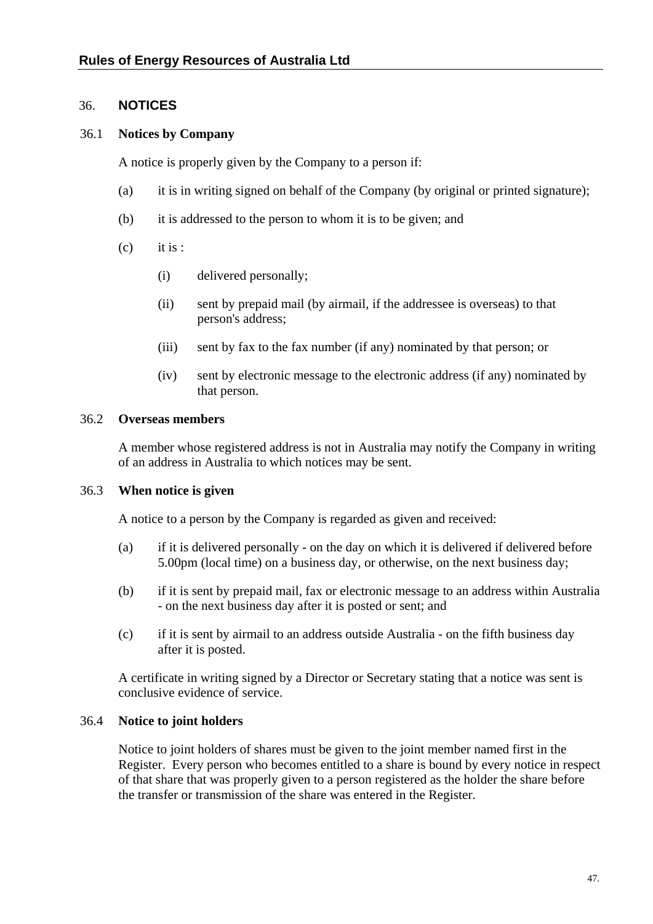## <span id="page-53-0"></span>36. **NOTICES**

## <span id="page-53-1"></span>36.1 **Notices by Company**

A notice is properly given by the Company to a person if:

- (a) it is in writing signed on behalf of the Company (by original or printed signature);
- (b) it is addressed to the person to whom it is to be given; and
- $(c)$  it is :
	- (i) delivered personally;
	- (ii) sent by prepaid mail (by airmail, if the addressee is overseas) to that person's address;
	- (iii) sent by fax to the fax number (if any) nominated by that person; or
	- (iv) sent by electronic message to the electronic address (if any) nominated by that person.

#### <span id="page-53-2"></span>36.2 **Overseas members**

A member whose registered address is not in Australia may notify the Company in writing of an address in Australia to which notices may be sent.

## 36.3 **When notice is given**

A notice to a person by the Company is regarded as given and received:

- (a) if it is delivered personally on the day on which it is delivered if delivered before 5.00pm (local time) on a business day, or otherwise, on the next business day;
- (b) if it is sent by prepaid mail, fax or electronic message to an address within Australia - on the next business day after it is posted or sent; and
- (c) if it is sent by airmail to an address outside Australia on the fifth business day after it is posted.

A certificate in writing signed by a Director or Secretary stating that a notice was sent is conclusive evidence of service.

## 36.4 **Notice to joint holders**

Notice to joint holders of shares must be given to the joint member named first in the Register. Every person who becomes entitled to a share is bound by every notice in respect of that share that was properly given to a person registered as the holder the share before the transfer or transmission of the share was entered in the Register.